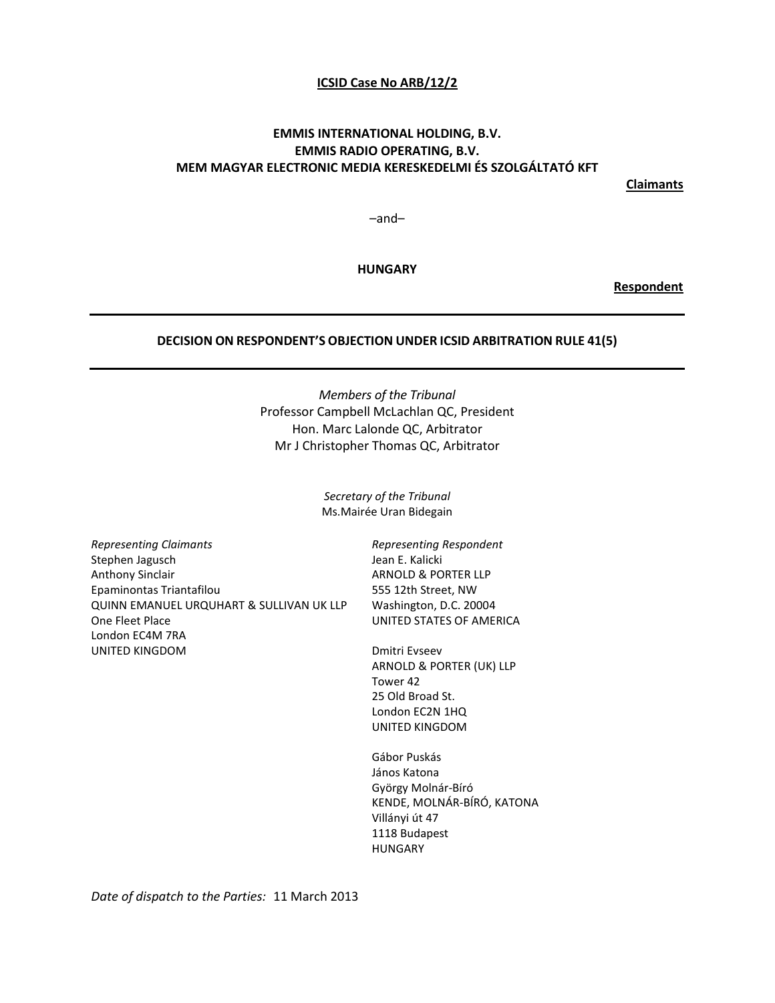### **ICSID Case No ARB/12/2**

# **EMMIS INTERNATIONAL HOLDING, B.V. EMMIS RADIO OPERATING, B.V. MEM MAGYAR ELECTRONIC MEDIA KERESKEDELMI ÉS SZOLGÁLTATÓ KFT**

**Claimants**

–and–

**HUNGARY**

**Respondent**

#### **DECISION ON RESPONDENT'S OBJECTION UNDER ICSID ARBITRATION RULE 41(5)**

*Members of the Tribunal* Professor Campbell McLachlan QC, President Hon. Marc Lalonde QC, Arbitrator Mr J Christopher Thomas QC, Arbitrator

> *Secretary of the Tribunal* Ms.Mairée Uran Bidegain

*Representing Claimants* Stephen Jagusch Anthony Sinclair Epaminontas Triantafilou QUINN EMANUEL URQUHART & SULLIVAN UK LLP One Fleet Place London EC4M 7RA UNITED KINGDOM

*Representing Respondent* Jean E. Kalicki ARNOLD & PORTER LLP 555 12th Street, NW Washington, D.C. 20004 UNITED STATES OF AMERICA

Dmitri Evseev ARNOLD & PORTER (UK) LLP Tower 42 25 Old Broad St. London EC2N 1HQ UNITED KINGDOM

Gábor Puskás János Katona György Molnár-Bíró KENDE, MOLNÁR-BÍRÓ, KATONA Villányi út 47 1118 Budapest HUNGARY

*Date of dispatch to the Parties:* 11 March 2013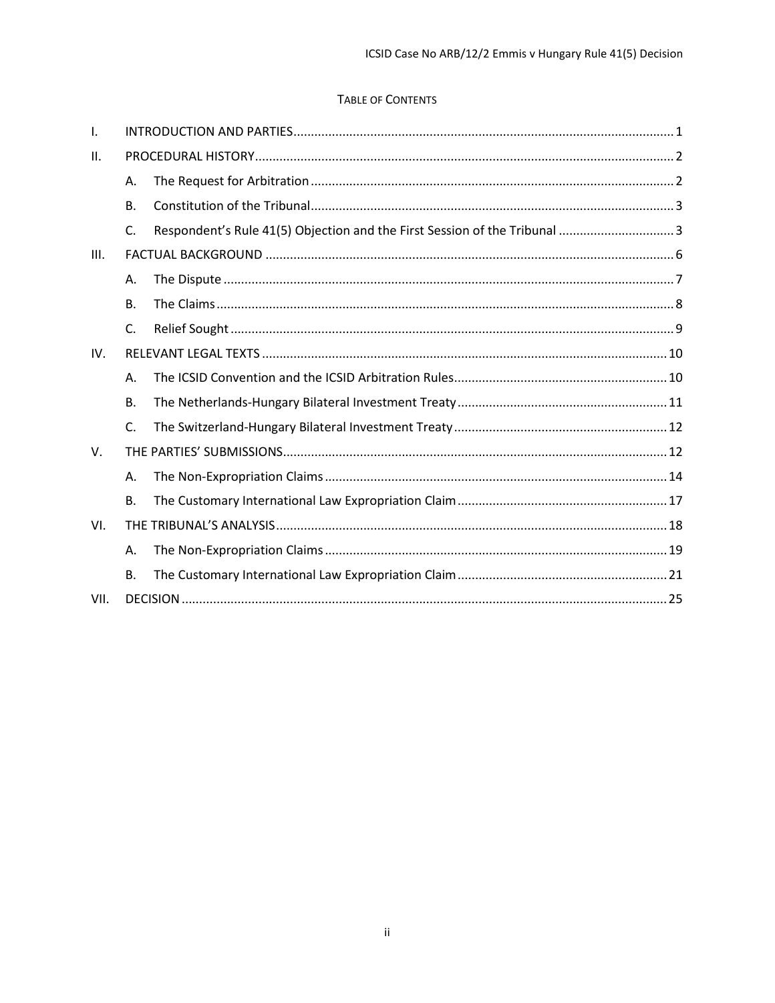# TABLE OF CONTENTS

| $\mathbf{I}$ . |                |                                                                            |  |  |
|----------------|----------------|----------------------------------------------------------------------------|--|--|
| H.             |                |                                                                            |  |  |
|                | Α.             |                                                                            |  |  |
|                | <b>B.</b>      |                                                                            |  |  |
|                | C.             | Respondent's Rule 41(5) Objection and the First Session of the Tribunal  3 |  |  |
| III.           |                |                                                                            |  |  |
|                | Α.             |                                                                            |  |  |
|                | <b>B.</b>      |                                                                            |  |  |
|                | $\mathsf{C}$ . |                                                                            |  |  |
| IV.            |                |                                                                            |  |  |
|                | Α.             |                                                                            |  |  |
|                | <b>B.</b>      |                                                                            |  |  |
|                | $\mathsf{C}$   |                                                                            |  |  |
| $V_{\cdot}$    |                |                                                                            |  |  |
|                | A.             |                                                                            |  |  |
|                | <b>B.</b>      |                                                                            |  |  |
| VI.            |                |                                                                            |  |  |
|                | Α.             |                                                                            |  |  |
|                | В.             |                                                                            |  |  |
| VII.           |                |                                                                            |  |  |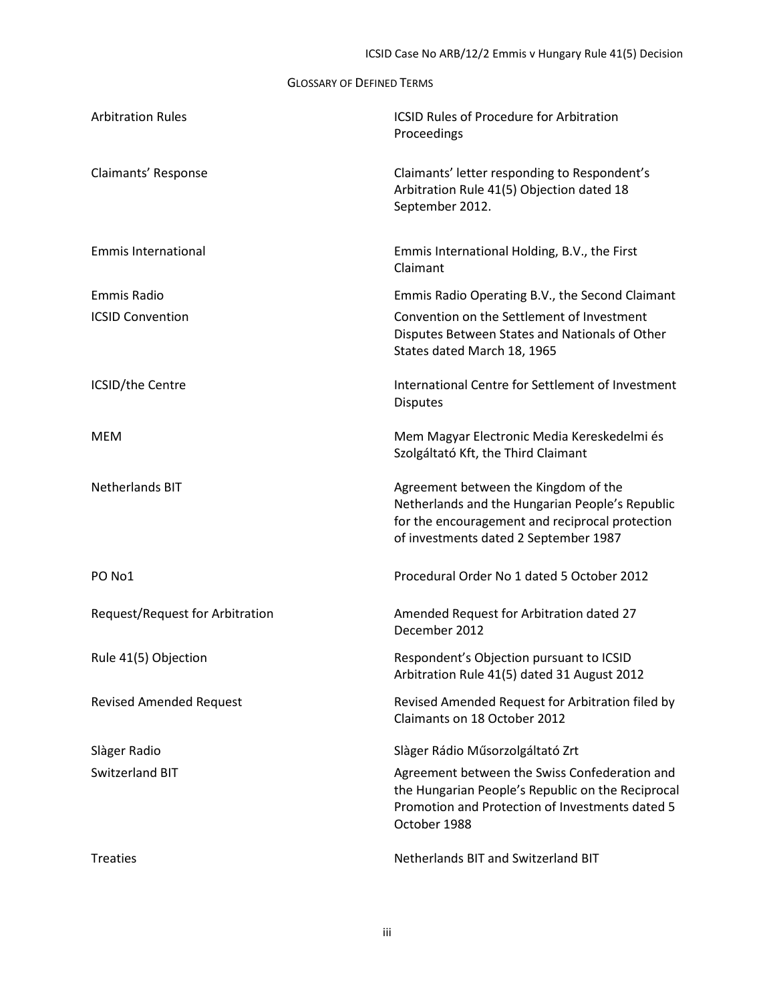GLOSSARY OF DEFINED TERMS

| <b>Arbitration Rules</b>               | <b>ICSID Rules of Procedure for Arbitration</b><br>Proceedings                                                                                                                      |
|----------------------------------------|-------------------------------------------------------------------------------------------------------------------------------------------------------------------------------------|
| Claimants' Response                    | Claimants' letter responding to Respondent's<br>Arbitration Rule 41(5) Objection dated 18<br>September 2012.                                                                        |
| <b>Emmis International</b>             | Emmis International Holding, B.V., the First<br>Claimant                                                                                                                            |
| <b>Emmis Radio</b>                     | Emmis Radio Operating B.V., the Second Claimant                                                                                                                                     |
| <b>ICSID Convention</b>                | Convention on the Settlement of Investment<br>Disputes Between States and Nationals of Other<br>States dated March 18, 1965                                                         |
| ICSID/the Centre                       | International Centre for Settlement of Investment<br><b>Disputes</b>                                                                                                                |
| MEM                                    | Mem Magyar Electronic Media Kereskedelmi és<br>Szolgáltató Kft, the Third Claimant                                                                                                  |
| <b>Netherlands BIT</b>                 | Agreement between the Kingdom of the<br>Netherlands and the Hungarian People's Republic<br>for the encouragement and reciprocal protection<br>of investments dated 2 September 1987 |
| PO No1                                 | Procedural Order No 1 dated 5 October 2012                                                                                                                                          |
| <b>Request/Request for Arbitration</b> | Amended Request for Arbitration dated 27<br>December 2012                                                                                                                           |
| Rule 41(5) Objection                   | Respondent's Objection pursuant to ICSID<br>Arbitration Rule 41(5) dated 31 August 2012                                                                                             |
| <b>Revised Amended Request</b>         | Revised Amended Request for Arbitration filed by<br>Claimants on 18 October 2012                                                                                                    |
| Slàger Radio                           | Slàger Rádio Műsorzolgáltató Zrt                                                                                                                                                    |
| Switzerland BIT                        | Agreement between the Swiss Confederation and<br>the Hungarian People's Republic on the Reciprocal<br>Promotion and Protection of Investments dated 5<br>October 1988               |
| <b>Treaties</b>                        | Netherlands BIT and Switzerland BIT                                                                                                                                                 |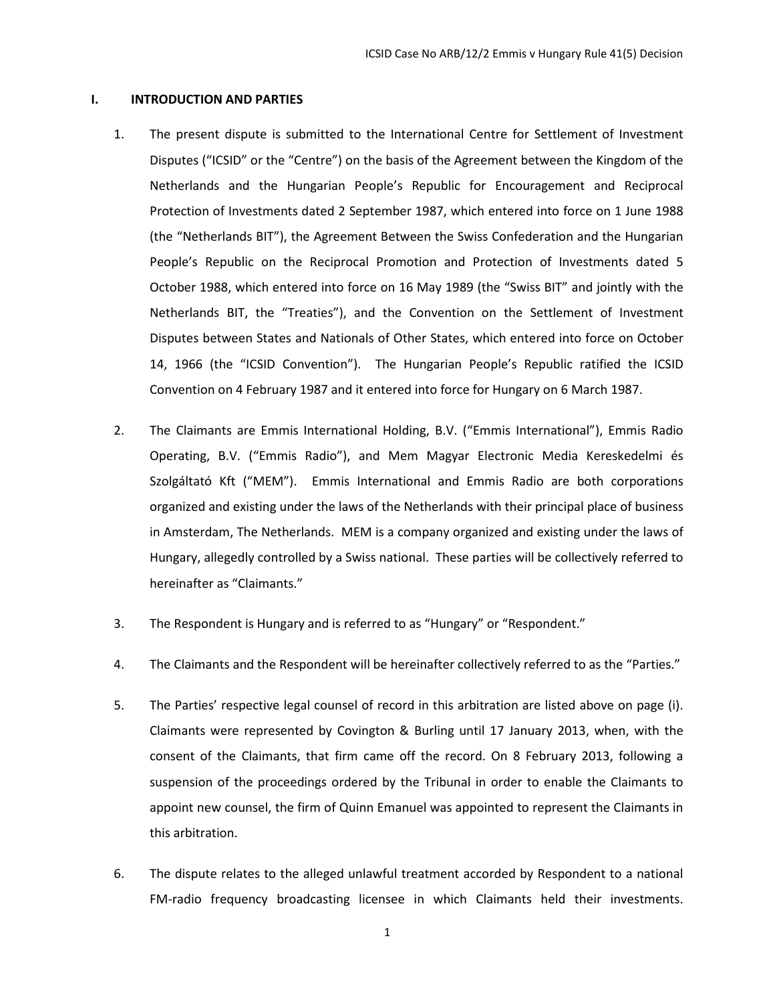#### <span id="page-3-0"></span>**I. INTRODUCTION AND PARTIES**

- 1. The present dispute is submitted to the International Centre for Settlement of Investment Disputes ("ICSID" or the "Centre") on the basis of the Agreement between the Kingdom of the Netherlands and the Hungarian People's Republic for Encouragement and Reciprocal Protection of Investments dated 2 September 1987, which entered into force on 1 June 1988 (the "Netherlands BIT"), the Agreement Between the Swiss Confederation and the Hungarian People's Republic on the Reciprocal Promotion and Protection of Investments dated 5 October 1988, which entered into force on 16 May 1989 (the "Swiss BIT" and jointly with the Netherlands BIT, the "Treaties"), and the Convention on the Settlement of Investment Disputes between States and Nationals of Other States, which entered into force on October 14, 1966 (the "ICSID Convention"). The Hungarian People's Republic ratified the ICSID Convention on 4 February 1987 and it entered into force for Hungary on 6 March 1987.
- 2. The Claimants are Emmis International Holding, B.V. ("Emmis International"), Emmis Radio Operating, B.V. ("Emmis Radio"), and Mem Magyar Electronic Media Kereskedelmi és Szolgáltató Kft ("MEM"). Emmis International and Emmis Radio are both corporations organized and existing under the laws of the Netherlands with their principal place of business in Amsterdam, The Netherlands. MEM is a company organized and existing under the laws of Hungary, allegedly controlled by a Swiss national. These parties will be collectively referred to hereinafter as "Claimants."
- 3. The Respondent is Hungary and is referred to as "Hungary" or "Respondent."
- 4. The Claimants and the Respondent will be hereinafter collectively referred to as the "Parties."
- 5. The Parties' respective legal counsel of record in this arbitration are listed above on page (i). Claimants were represented by Covington & Burling until 17 January 2013, when, with the consent of the Claimants, that firm came off the record. On 8 February 2013, following a suspension of the proceedings ordered by the Tribunal in order to enable the Claimants to appoint new counsel, the firm of Quinn Emanuel was appointed to represent the Claimants in this arbitration.
- 6. The dispute relates to the alleged unlawful treatment accorded by Respondent to a national FM-radio frequency broadcasting licensee in which Claimants held their investments.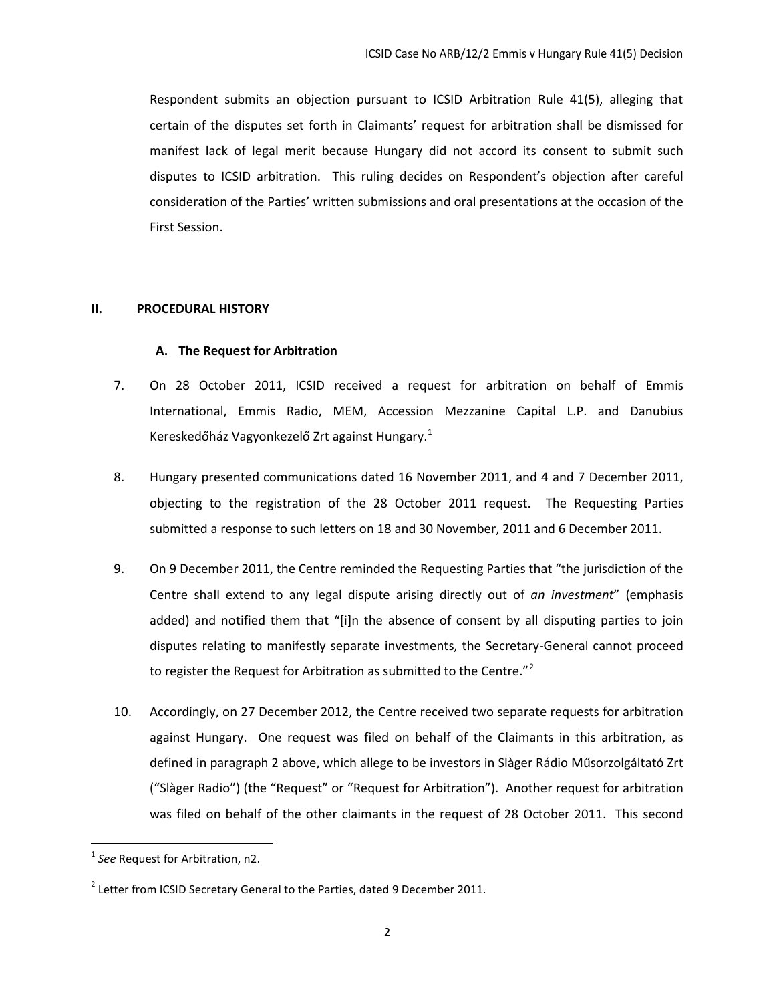Respondent submits an objection pursuant to ICSID Arbitration Rule 41(5), alleging that certain of the disputes set forth in Claimants' request for arbitration shall be dismissed for manifest lack of legal merit because Hungary did not accord its consent to submit such disputes to ICSID arbitration. This ruling decides on Respondent's objection after careful consideration of the Parties' written submissions and oral presentations at the occasion of the First Session.

#### <span id="page-4-1"></span><span id="page-4-0"></span>**II. PROCEDURAL HISTORY**

#### **A. The Request for Arbitration**

- 7. On 28 October 2011, ICSID received a request for arbitration on behalf of Emmis International, Emmis Radio, MEM, Accession Mezzanine Capital L.P. and Danubius Kereskedőház Vagyonkezelő Zrt against Hungary.<sup>[1](#page-4-2)</sup>
- 8. Hungary presented communications dated 16 November 2011, and 4 and 7 December 2011, objecting to the registration of the 28 October 2011 request. The Requesting Parties submitted a response to such letters on 18 and 30 November, 2011 and 6 December 2011.
- 9. On 9 December 2011, the Centre reminded the Requesting Parties that "the jurisdiction of the Centre shall extend to any legal dispute arising directly out of *an investment*" (emphasis added) and notified them that "[i]n the absence of consent by all disputing parties to join disputes relating to manifestly separate investments, the Secretary-General cannot proceed to register the Request for Arbitration as submitted to the Centre."<sup>[2](#page-4-3)</sup>
- 10. Accordingly, on 27 December 2012, the Centre received two separate requests for arbitration against Hungary. One request was filed on behalf of the Claimants in this arbitration, as defined in paragraph 2 above, which allege to be investors in Slàger Rádio Műsorzolgáltató Zrt ("Slàger Radio") (the "Request" or "Request for Arbitration"). Another request for arbitration was filed on behalf of the other claimants in the request of 28 October 2011. This second

<span id="page-4-2"></span><sup>1</sup> *See* Request for Arbitration, n2.

<span id="page-4-3"></span> $2$  Letter from ICSID Secretary General to the Parties, dated 9 December 2011.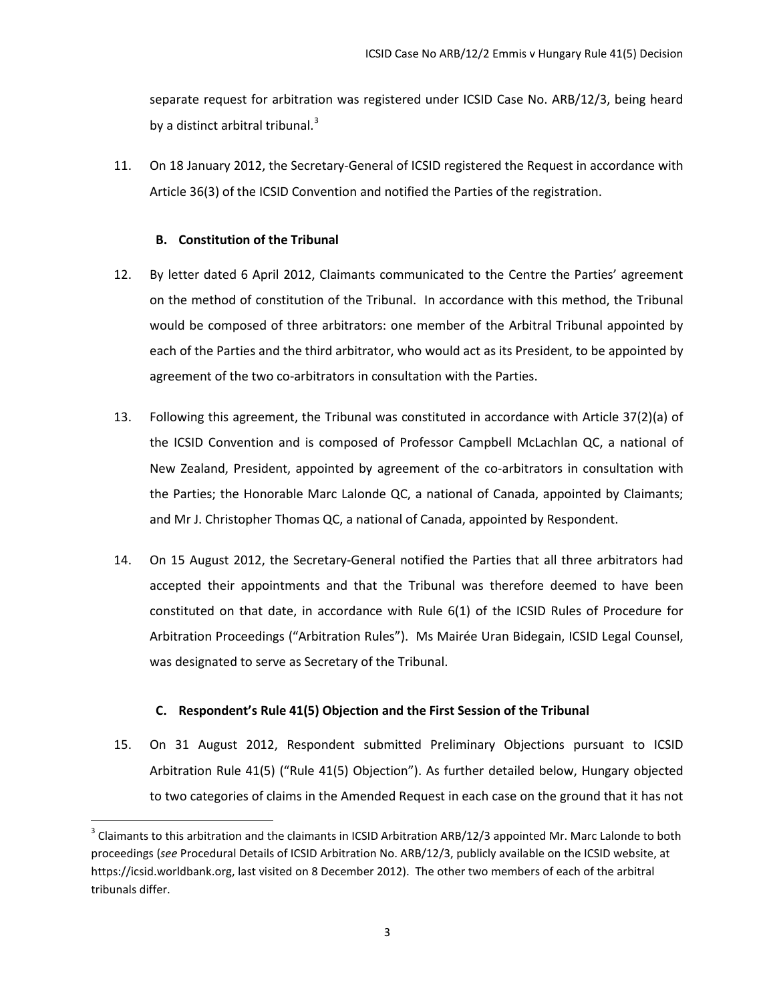separate request for arbitration was registered under ICSID Case No. ARB/12/3, being heard by a distinct arbitral tribunal. $3$ 

11. On 18 January 2012, the Secretary-General of ICSID registered the Request in accordance with Article 36(3) of the ICSID Convention and notified the Parties of the registration.

# **B. Constitution of the Tribunal**

- <span id="page-5-0"></span>12. By letter dated 6 April 2012, Claimants communicated to the Centre the Parties' agreement on the method of constitution of the Tribunal. In accordance with this method, the Tribunal would be composed of three arbitrators: one member of the Arbitral Tribunal appointed by each of the Parties and the third arbitrator, who would act as its President, to be appointed by agreement of the two co-arbitrators in consultation with the Parties.
- 13. Following this agreement, the Tribunal was constituted in accordance with Article 37(2)(a) of the ICSID Convention and is composed of Professor Campbell McLachlan QC, a national of New Zealand, President, appointed by agreement of the co-arbitrators in consultation with the Parties; the Honorable Marc Lalonde QC, a national of Canada, appointed by Claimants; and Mr J. Christopher Thomas QC, a national of Canada, appointed by Respondent.
- 14. On 15 August 2012, the Secretary-General notified the Parties that all three arbitrators had accepted their appointments and that the Tribunal was therefore deemed to have been constituted on that date, in accordance with Rule 6(1) of the ICSID Rules of Procedure for Arbitration Proceedings ("Arbitration Rules"). Ms Mairée Uran Bidegain, ICSID Legal Counsel, was designated to serve as Secretary of the Tribunal.

# **C. Respondent's Rule 41(5) Objection and the First Session of the Tribunal**

<span id="page-5-1"></span>15. On 31 August 2012, Respondent submitted Preliminary Objections pursuant to ICSID Arbitration Rule 41(5) ("Rule 41(5) Objection"). As further detailed below, Hungary objected to two categories of claims in the Amended Request in each case on the ground that it has not

<span id="page-5-2"></span><sup>&</sup>lt;sup>3</sup> Claimants to this arbitration and the claimants in ICSID Arbitration ARB/12/3 appointed Mr. Marc Lalonde to both proceedings (*see* Procedural Details of ICSID Arbitration No. ARB/12/3, publicly available on the ICSID website, at https://icsid.worldbank.org, last visited on 8 December 2012). The other two members of each of the arbitral tribunals differ.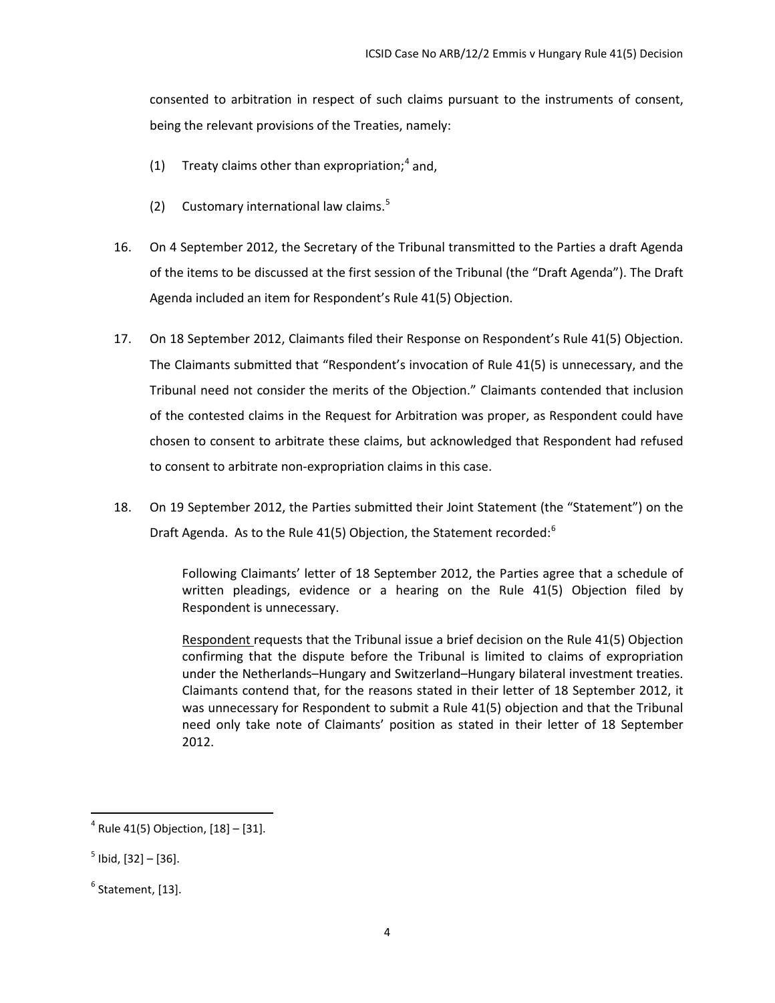consented to arbitration in respect of such claims pursuant to the instruments of consent, being the relevant provisions of the Treaties, namely:

- (1) Treaty claims other than expropriation;  $4$  and,
- (2) Customary international law claims.<sup>[5](#page-6-1)</sup>
- 16. On 4 September 2012, the Secretary of the Tribunal transmitted to the Parties a draft Agenda of the items to be discussed at the first session of the Tribunal (the "Draft Agenda"). The Draft Agenda included an item for Respondent's Rule 41(5) Objection.
- 17. On 18 September 2012, Claimants filed their Response on Respondent's Rule 41(5) Objection. The Claimants submitted that "Respondent's invocation of Rule 41(5) is unnecessary, and the Tribunal need not consider the merits of the Objection." Claimants contended that inclusion of the contested claims in the Request for Arbitration was proper, as Respondent could have chosen to consent to arbitrate these claims, but acknowledged that Respondent had refused to consent to arbitrate non-expropriation claims in this case.
- 18. On 19 September 2012, the Parties submitted their Joint Statement (the "Statement") on the Draft Agenda. As to the Rule 41(5) Objection, the Statement recorded: $6$

Following Claimants' letter of 18 September 2012, the Parties agree that a schedule of written pleadings, evidence or a hearing on the Rule 41(5) Objection filed by Respondent is unnecessary.

Respondent requests that the Tribunal issue a brief decision on the Rule 41(5) Objection confirming that the dispute before the Tribunal is limited to claims of expropriation under the Netherlands–Hungary and Switzerland–Hungary bilateral investment treaties. Claimants contend that, for the reasons stated in their letter of 18 September 2012, it was unnecessary for Respondent to submit a Rule 41(5) objection and that the Tribunal need only take note of Claimants' position as stated in their letter of 18 September 2012.

<span id="page-6-0"></span> $4$  Rule 41(5) Objection, [18] – [31].

<span id="page-6-1"></span> $<sup>5</sup>$  Ibid, [32] - [36].</sup>

<span id="page-6-2"></span> $<sup>6</sup>$  Statement, [13].</sup>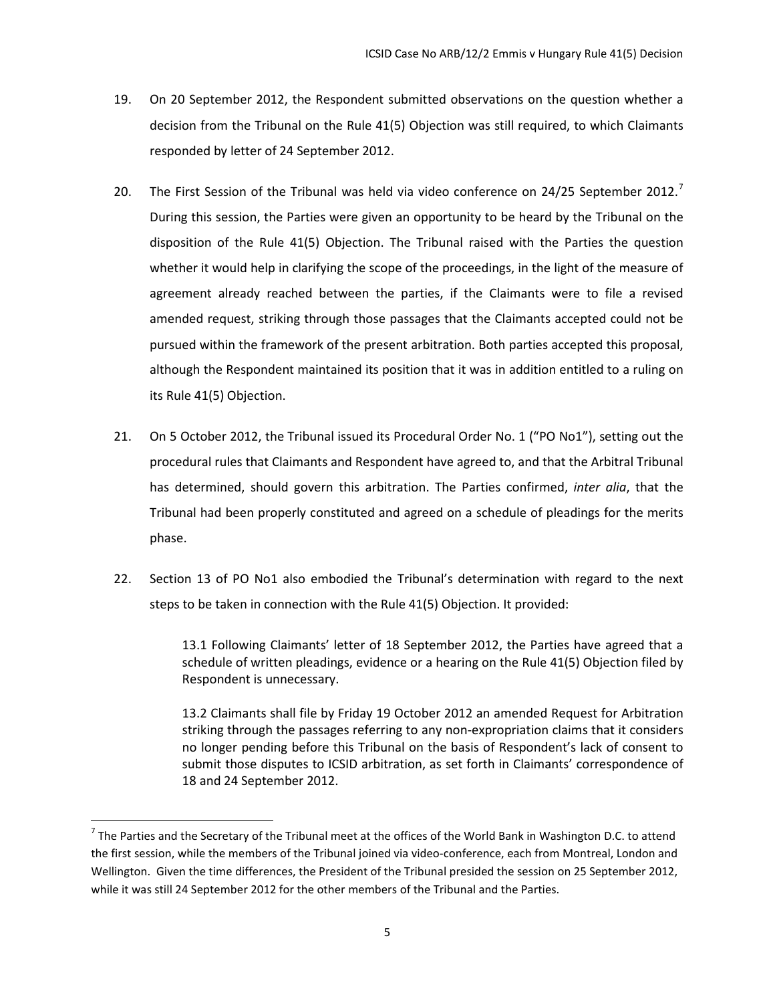- 19. On 20 September 2012, the Respondent submitted observations on the question whether a decision from the Tribunal on the Rule 41(5) Objection was still required, to which Claimants responded by letter of 24 September 2012.
- 20. The First Session of the Tribunal was held via video conference on 24/25 September 2012.<sup>[7](#page-7-0)</sup> During this session, the Parties were given an opportunity to be heard by the Tribunal on the disposition of the Rule 41(5) Objection. The Tribunal raised with the Parties the question whether it would help in clarifying the scope of the proceedings, in the light of the measure of agreement already reached between the parties, if the Claimants were to file a revised amended request, striking through those passages that the Claimants accepted could not be pursued within the framework of the present arbitration. Both parties accepted this proposal, although the Respondent maintained its position that it was in addition entitled to a ruling on its Rule 41(5) Objection.
- 21. On 5 October 2012, the Tribunal issued its Procedural Order No. 1 ("PO No1"), setting out the procedural rules that Claimants and Respondent have agreed to, and that the Arbitral Tribunal has determined, should govern this arbitration. The Parties confirmed, *inter alia*, that the Tribunal had been properly constituted and agreed on a schedule of pleadings for the merits phase.
- 22. Section 13 of PO No1 also embodied the Tribunal's determination with regard to the next steps to be taken in connection with the Rule 41(5) Objection. It provided:

13.1 Following Claimants' letter of 18 September 2012, the Parties have agreed that a schedule of written pleadings, evidence or a hearing on the Rule 41(5) Objection filed by Respondent is unnecessary.

13.2 Claimants shall file by Friday 19 October 2012 an amended Request for Arbitration striking through the passages referring to any non-expropriation claims that it considers no longer pending before this Tribunal on the basis of Respondent's lack of consent to submit those disputes to ICSID arbitration, as set forth in Claimants' correspondence of 18 and 24 September 2012.

<span id="page-7-0"></span> $7$  The Parties and the Secretary of the Tribunal meet at the offices of the World Bank in Washington D.C. to attend the first session, while the members of the Tribunal joined via video-conference, each from Montreal, London and Wellington. Given the time differences, the President of the Tribunal presided the session on 25 September 2012, while it was still 24 September 2012 for the other members of the Tribunal and the Parties.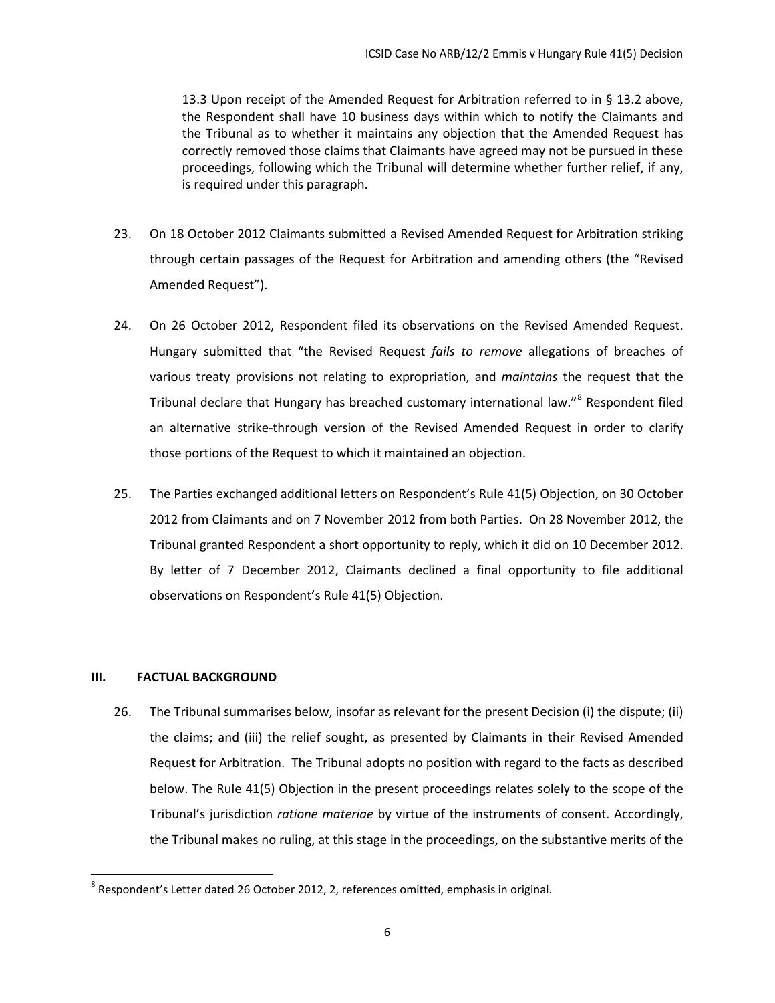13.3 Upon receipt of the Amended Request for Arbitration referred to in § 13.2 above, the Respondent shall have 10 business days within which to notify the Claimants and the Tribunal as to whether it maintains any objection that the Amended Request has correctly removed those claims that Claimants have agreed may not be pursued in these proceedings, following which the Tribunal will determine whether further relief, if any, is required under this paragraph.

- 23. On 18 October 2012 Claimants submitted a Revised Amended Request for Arbitration striking through certain passages of the Request for Arbitration and amending others (the "Revised Amended Request").
- 24. On 26 October 2012, Respondent filed its observations on the Revised Amended Request. Hungary submitted that "the Revised Request *fails to remove* allegations of breaches of various treaty provisions not relating to expropriation, and *maintains* the request that the Tribunal declare that Hungary has breached customary international law."<sup>[8](#page-8-1)</sup> Respondent filed an alternative strike-through version of the Revised Amended Request in order to clarify those portions of the Request to which it maintained an objection.
- 25. The Parties exchanged additional letters on Respondent's Rule 41(5) Objection, on 30 October 2012 from Claimants and on 7 November 2012 from both Parties. On 28 November 2012, the Tribunal granted Respondent a short opportunity to reply, which it did on 10 December 2012. By letter of 7 December 2012, Claimants declined a final opportunity to file additional observations on Respondent's Rule 41(5) Objection.

# <span id="page-8-0"></span>**III. FACTUAL BACKGROUND**

26. The Tribunal summarises below, insofar as relevant for the present Decision (i) the dispute; (ii) the claims; and (iii) the relief sought, as presented by Claimants in their Revised Amended Request for Arbitration. The Tribunal adopts no position with regard to the facts as described below. The Rule 41(5) Objection in the present proceedings relates solely to the scope of the Tribunal's jurisdiction *ratione materiae* by virtue of the instruments of consent. Accordingly, the Tribunal makes no ruling, at this stage in the proceedings, on the substantive merits of the

<span id="page-8-1"></span> $8$  Respondent's Letter dated 26 October 2012, 2, references omitted, emphasis in original.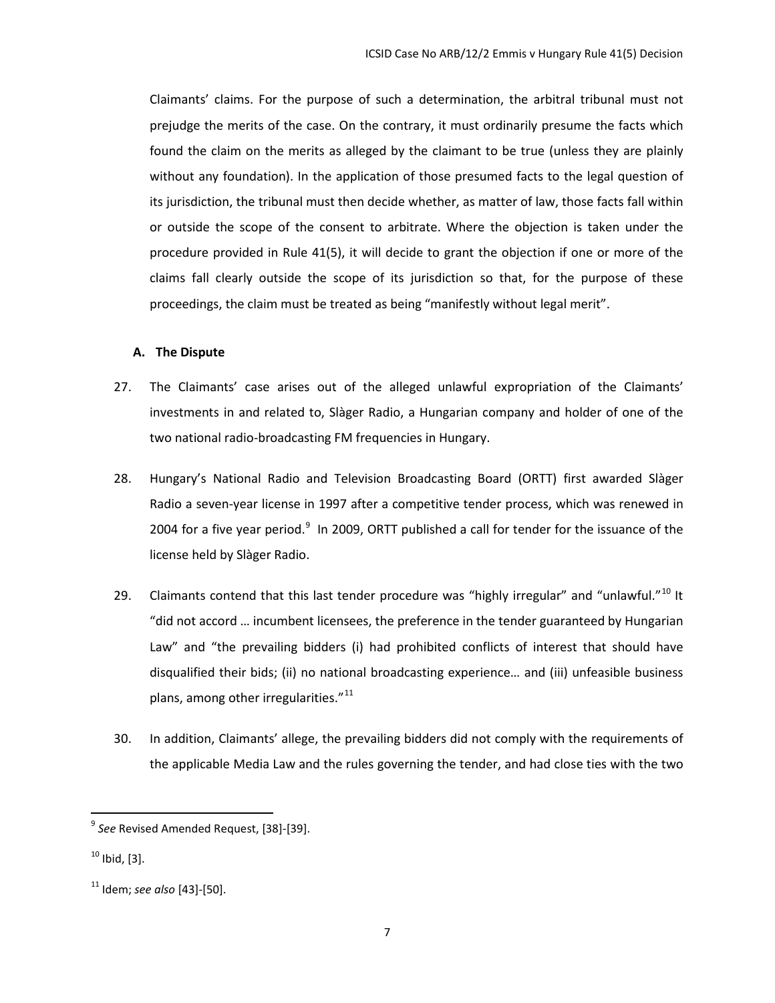Claimants' claims. For the purpose of such a determination, the arbitral tribunal must not prejudge the merits of the case. On the contrary, it must ordinarily presume the facts which found the claim on the merits as alleged by the claimant to be true (unless they are plainly without any foundation). In the application of those presumed facts to the legal question of its jurisdiction, the tribunal must then decide whether, as matter of law, those facts fall within or outside the scope of the consent to arbitrate. Where the objection is taken under the procedure provided in Rule 41(5), it will decide to grant the objection if one or more of the claims fall clearly outside the scope of its jurisdiction so that, for the purpose of these proceedings, the claim must be treated as being "manifestly without legal merit".

#### <span id="page-9-0"></span>**A. The Dispute**

- 27. The Claimants' case arises out of the alleged unlawful expropriation of the Claimants' investments in and related to, Slàger Radio, a Hungarian company and holder of one of the two national radio-broadcasting FM frequencies in Hungary.
- 28. Hungary's National Radio and Television Broadcasting Board (ORTT) first awarded Slàger Radio a seven-year license in 1997 after a competitive tender process, which was renewed in 2004 for a five year period. $9\,$  $9\,$  In 2009, ORTT published a call for tender for the issuance of the license held by Slàger Radio.
- 29. Claimants contend that this last tender procedure was "highly irregular" and "unlawful."<sup>[10](#page-9-2)</sup> It "did not accord … incumbent licensees, the preference in the tender guaranteed by Hungarian Law" and "the prevailing bidders (i) had prohibited conflicts of interest that should have disqualified their bids; (ii) no national broadcasting experience… and (iii) unfeasible business plans, among other irregularities. $"^{11}$  $"^{11}$  $"^{11}$
- 30. In addition, Claimants' allege, the prevailing bidders did not comply with the requirements of the applicable Media Law and the rules governing the tender, and had close ties with the two

<span id="page-9-1"></span><sup>9</sup> *See* Revised Amended Request, [38]-[39].

<span id="page-9-2"></span> $10$  Ibid, [3].

<span id="page-9-3"></span><sup>11</sup> Idem; *see also* [43]-[50].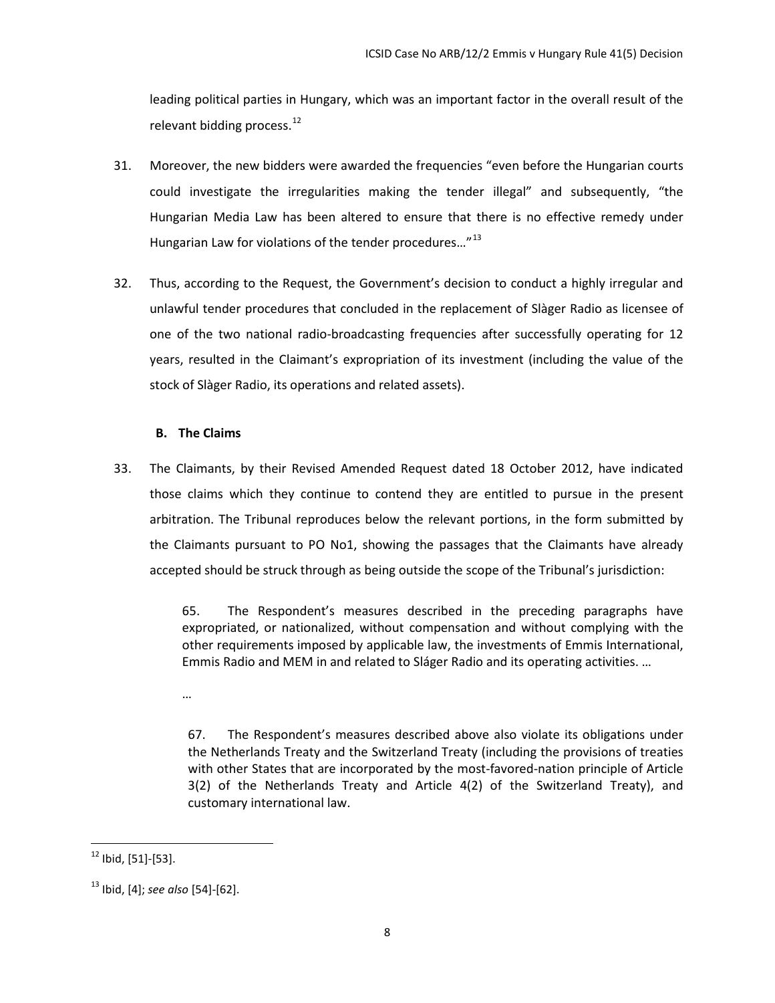leading political parties in Hungary, which was an important factor in the overall result of the relevant bidding process. $^{12}$  $^{12}$  $^{12}$ 

- 31. Moreover, the new bidders were awarded the frequencies "even before the Hungarian courts could investigate the irregularities making the tender illegal" and subsequently, "the Hungarian Media Law has been altered to ensure that there is no effective remedy under Hungarian Law for violations of the tender procedures..."<sup>[13](#page-10-2)</sup>
- 32. Thus, according to the Request, the Government's decision to conduct a highly irregular and unlawful tender procedures that concluded in the replacement of Slàger Radio as licensee of one of the two national radio-broadcasting frequencies after successfully operating for 12 years, resulted in the Claimant's expropriation of its investment (including the value of the stock of Slàger Radio, its operations and related assets).

# **B. The Claims**

<span id="page-10-0"></span>33. The Claimants, by their Revised Amended Request dated 18 October 2012, have indicated those claims which they continue to contend they are entitled to pursue in the present arbitration. The Tribunal reproduces below the relevant portions, in the form submitted by the Claimants pursuant to PO No1, showing the passages that the Claimants have already accepted should be struck through as being outside the scope of the Tribunal's jurisdiction:

> 65. The Respondent's measures described in the preceding paragraphs have expropriated, or nationalized, without compensation and without complying with the other requirements imposed by applicable law, the investments of Emmis International, Emmis Radio and MEM in and related to Sláger Radio and its operating activities. …

…

67. The Respondent's measures described above also violate its obligations under the Netherlands Treaty and the Switzerland Treaty (including the provisions of treaties with other States that are incorporated by the most-favored-nation principle of Article 3(2) of the Netherlands Treaty and Article 4(2) of the Switzerland Treaty), and customary international law.

<span id="page-10-1"></span> $12$  Ibid, [51]-[53].

<span id="page-10-2"></span><sup>13</sup> Ibid, [4]; *see also* [54]-[62].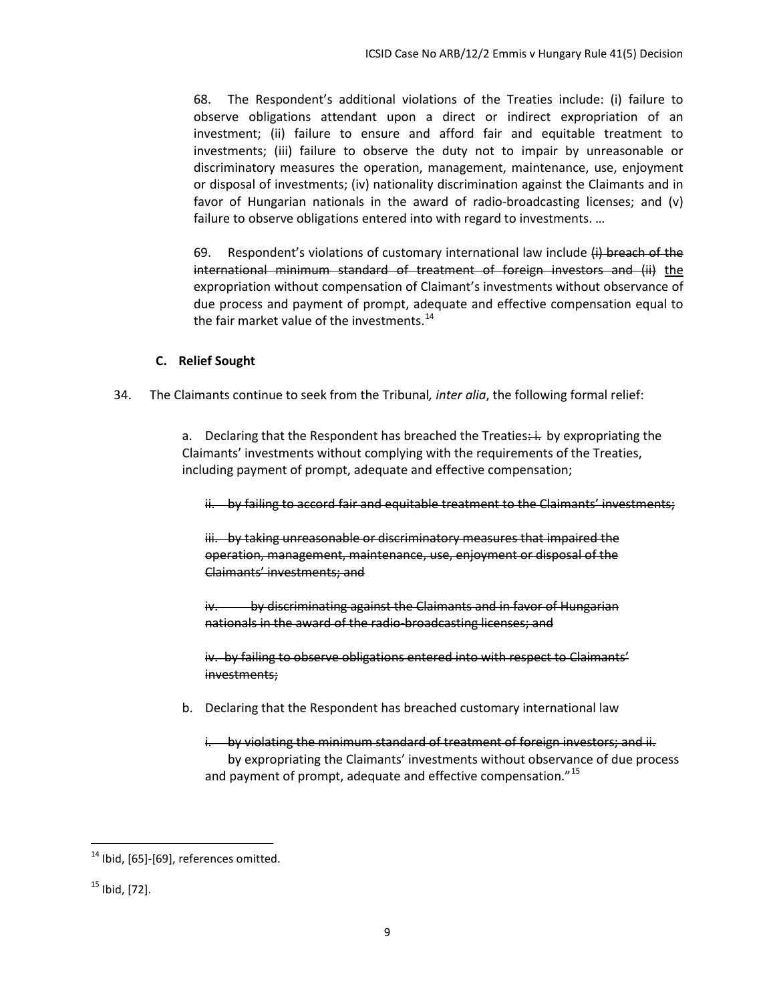68. The Respondent's additional violations of the Treaties include: (i) failure to observe obligations attendant upon a direct or indirect expropriation of an investment; (ii) failure to ensure and afford fair and equitable treatment to investments; (iii) failure to observe the duty not to impair by unreasonable or discriminatory measures the operation, management, maintenance, use, enjoyment or disposal of investments; (iv) nationality discrimination against the Claimants and in favor of Hungarian nationals in the award of radio-broadcasting licenses; and (v) failure to observe obligations entered into with regard to investments. …

69. Respondent's violations of customary international law include (i) breach of the international minimum standard of treatment of foreign investors and (ii) the expropriation without compensation of Claimant's investments without observance of due process and payment of prompt, adequate and effective compensation equal to the fair market value of the investments.<sup>[14](#page-11-1)</sup>

### **C. Relief Sought**

<span id="page-11-0"></span>34. The Claimants continue to seek from the Tribunal*, inter alia*, the following formal relief:

a. Declaring that the Respondent has breached the Treaties $\div \div$  by expropriating the Claimants' investments without complying with the requirements of the Treaties, including payment of prompt, adequate and effective compensation;

ii. by failing to accord fair and equitable treatment to the Claimants' investments;

iii. by taking unreasonable or discriminatory measures that impaired the operation, management, maintenance, use, enjoyment or disposal of the Claimants' investments; and

iv. by discriminating against the Claimants and in favor of Hungarian nationals in the award of the radio-broadcasting licenses; and

iv. by failing to observe obligations entered into with respect to Claimants' investments;

- b. Declaring that the Respondent has breached customary international law
	- i. by violating the minimum standard of treatment of foreign investors; and ii. by expropriating the Claimants' investments without observance of due process and payment of prompt, adequate and effective compensation."<sup>[15](#page-11-2)</sup>

<span id="page-11-1"></span><sup>&</sup>lt;sup>14</sup> Ibid, [65]-[69], references omitted.

<span id="page-11-2"></span> $15$  Ibid, [72].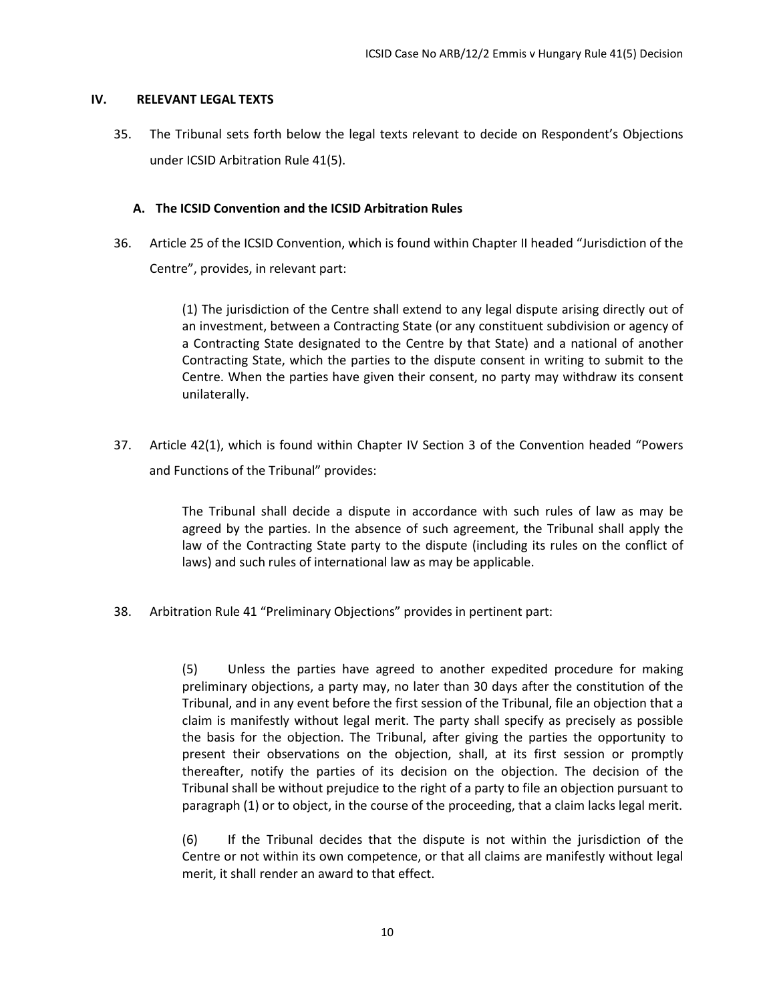#### <span id="page-12-0"></span>**IV. RELEVANT LEGAL TEXTS**

35. The Tribunal sets forth below the legal texts relevant to decide on Respondent's Objections under ICSID Arbitration Rule 41(5).

# <span id="page-12-1"></span>**A. The ICSID Convention and the ICSID Arbitration Rules**

36. Article 25 of the ICSID Convention, which is found within Chapter II headed "Jurisdiction of the Centre", provides, in relevant part:

> (1) The jurisdiction of the Centre shall extend to any legal dispute arising directly out of an investment, between a Contracting State (or any constituent subdivision or agency of a Contracting State designated to the Centre by that State) and a national of another Contracting State, which the parties to the dispute consent in writing to submit to the Centre. When the parties have given their consent, no party may withdraw its consent unilaterally.

37. Article 42(1), which is found within Chapter IV Section 3 of the Convention headed "Powers and Functions of the Tribunal" provides:

> The Tribunal shall decide a dispute in accordance with such rules of law as may be agreed by the parties. In the absence of such agreement, the Tribunal shall apply the law of the Contracting State party to the dispute (including its rules on the conflict of laws) and such rules of international law as may be applicable.

38. Arbitration Rule 41 "Preliminary Objections" provides in pertinent part:

(5) Unless the parties have agreed to another expedited procedure for making preliminary objections, a party may, no later than 30 days after the constitution of the Tribunal, and in any event before the first session of the Tribunal, file an objection that a claim is manifestly without legal merit. The party shall specify as precisely as possible the basis for the objection. The Tribunal, after giving the parties the opportunity to present their observations on the objection, shall, at its first session or promptly thereafter, notify the parties of its decision on the objection. The decision of the Tribunal shall be without prejudice to the right of a party to file an objection pursuant to paragraph (1) or to object, in the course of the proceeding, that a claim lacks legal merit.

(6) If the Tribunal decides that the dispute is not within the jurisdiction of the Centre or not within its own competence, or that all claims are manifestly without legal merit, it shall render an award to that effect.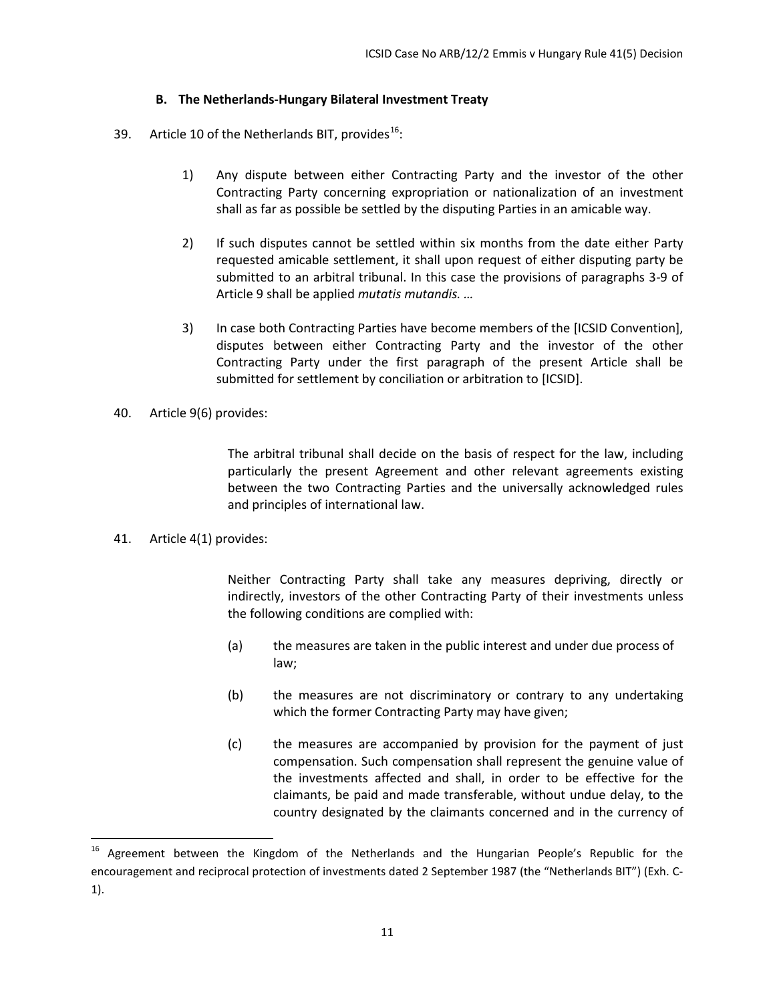# **B. The Netherlands-Hungary Bilateral Investment Treaty**

- <span id="page-13-0"></span>39. Article 10 of the Netherlands BIT, provides<sup>[16](#page-13-1)</sup>:
	- 1) Any dispute between either Contracting Party and the investor of the other Contracting Party concerning expropriation or nationalization of an investment shall as far as possible be settled by the disputing Parties in an amicable way.
	- 2) If such disputes cannot be settled within six months from the date either Party requested amicable settlement, it shall upon request of either disputing party be submitted to an arbitral tribunal. In this case the provisions of paragraphs 3-9 of Article 9 shall be applied *mutatis mutandis. …*
	- 3) In case both Contracting Parties have become members of the [ICSID Convention], disputes between either Contracting Party and the investor of the other Contracting Party under the first paragraph of the present Article shall be submitted for settlement by conciliation or arbitration to [ICSID].
- 40. Article 9(6) provides:

The arbitral tribunal shall decide on the basis of respect for the law, including particularly the present Agreement and other relevant agreements existing between the two Contracting Parties and the universally acknowledged rules and principles of international law.

41. Article 4(1) provides:

Neither Contracting Party shall take any measures depriving, directly or indirectly, investors of the other Contracting Party of their investments unless the following conditions are complied with:

- (a) the measures are taken in the public interest and under due process of law;
- (b) the measures are not discriminatory or contrary to any undertaking which the former Contracting Party may have given;
- (c) the measures are accompanied by provision for the payment of just compensation. Such compensation shall represent the genuine value of the investments affected and shall, in order to be effective for the claimants, be paid and made transferable, without undue delay, to the country designated by the claimants concerned and in the currency of

<span id="page-13-1"></span>Agreement between the Kingdom of the Netherlands and the Hungarian People's Republic for the encouragement and reciprocal protection of investments dated 2 September 1987 (the "Netherlands BIT") (Exh. C-1).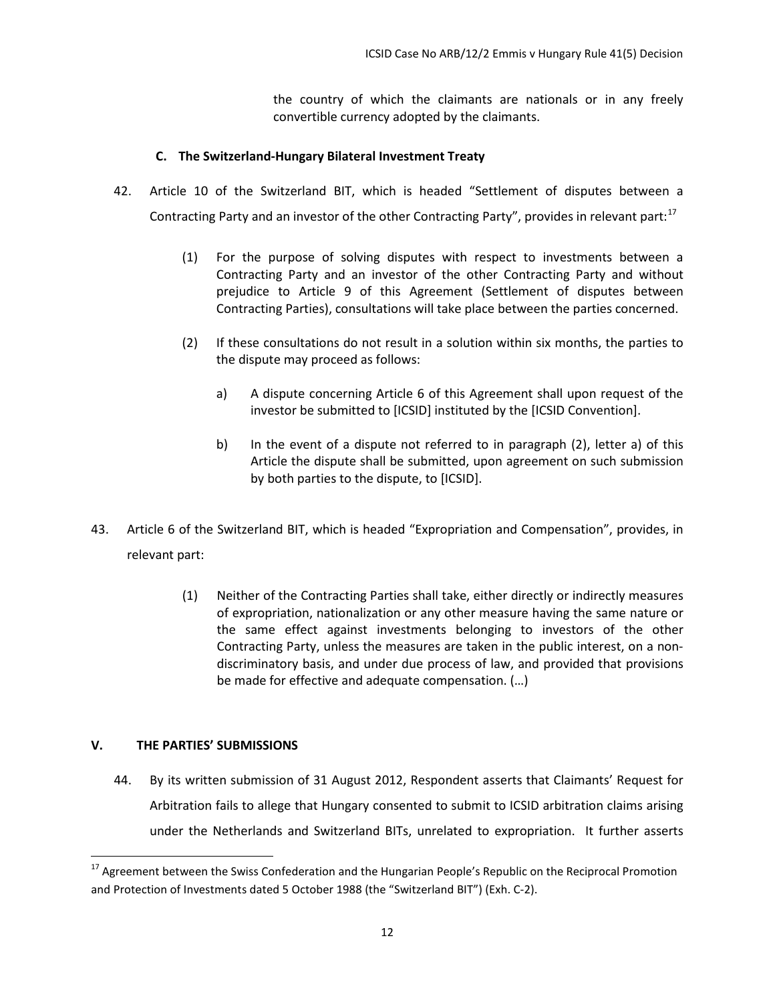the country of which the claimants are nationals or in any freely convertible currency adopted by the claimants.

# **C. The Switzerland-Hungary Bilateral Investment Treaty**

- <span id="page-14-0"></span>42. Article 10 of the Switzerland BIT, which is headed "Settlement of disputes between a Contracting Party and an investor of the other Contracting Party", provides in relevant part: $17$ 
	- (1) For the purpose of solving disputes with respect to investments between a Contracting Party and an investor of the other Contracting Party and without prejudice to Article 9 of this Agreement (Settlement of disputes between Contracting Parties), consultations will take place between the parties concerned.
	- (2) If these consultations do not result in a solution within six months, the parties to the dispute may proceed as follows:
		- a) A dispute concerning Article 6 of this Agreement shall upon request of the investor be submitted to [ICSID] instituted by the [ICSID Convention].
		- b) In the event of a dispute not referred to in paragraph (2), letter a) of this Article the dispute shall be submitted, upon agreement on such submission by both parties to the dispute, to [ICSID].
- 43. Article 6 of the Switzerland BIT, which is headed "Expropriation and Compensation", provides, in relevant part:
	- (1) Neither of the Contracting Parties shall take, either directly or indirectly measures of expropriation, nationalization or any other measure having the same nature or the same effect against investments belonging to investors of the other Contracting Party, unless the measures are taken in the public interest, on a nondiscriminatory basis, and under due process of law, and provided that provisions be made for effective and adequate compensation. (…)

# <span id="page-14-1"></span>**V. THE PARTIES' SUBMISSIONS**

44. By its written submission of 31 August 2012, Respondent asserts that Claimants' Request for Arbitration fails to allege that Hungary consented to submit to ICSID arbitration claims arising under the Netherlands and Switzerland BITs, unrelated to expropriation. It further asserts

<span id="page-14-2"></span><sup>&</sup>lt;sup>17</sup> Agreement between the Swiss Confederation and the Hungarian People's Republic on the Reciprocal Promotion and Protection of Investments dated 5 October 1988 (the "Switzerland BIT") (Exh. C-2).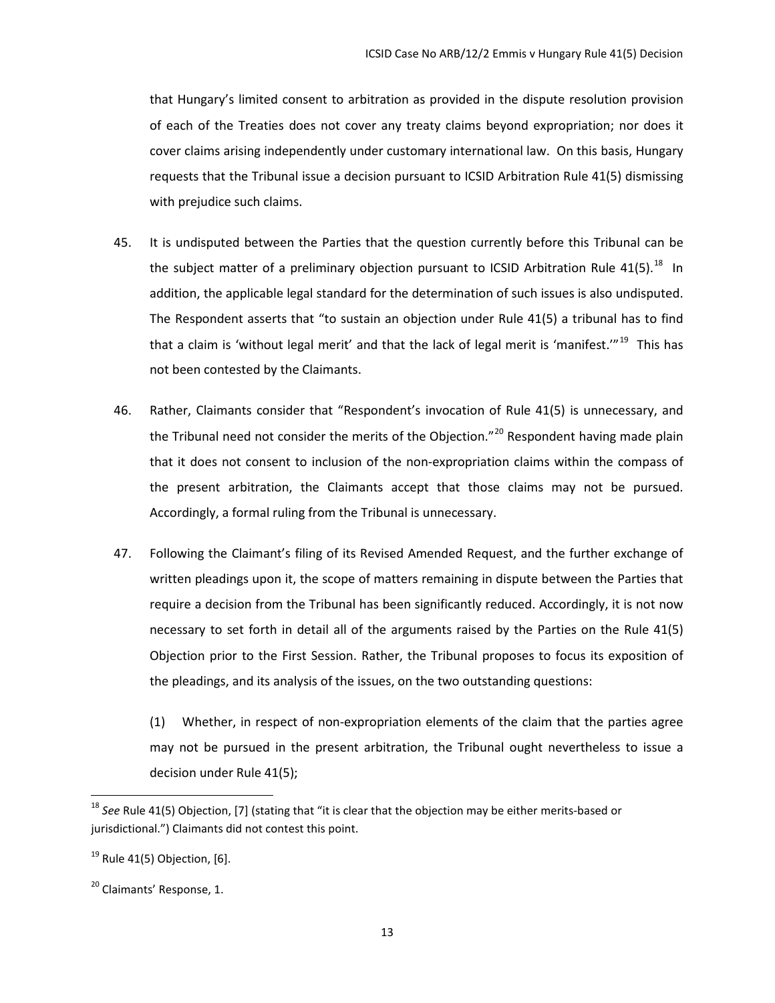that Hungary's limited consent to arbitration as provided in the dispute resolution provision of each of the Treaties does not cover any treaty claims beyond expropriation; nor does it cover claims arising independently under customary international law. On this basis, Hungary requests that the Tribunal issue a decision pursuant to ICSID Arbitration Rule 41(5) dismissing with prejudice such claims.

- 45. It is undisputed between the Parties that the question currently before this Tribunal can be the subject matter of a preliminary objection pursuant to ICSID Arbitration Rule  $41(5)$ .<sup>18</sup> In addition, the applicable legal standard for the determination of such issues is also undisputed. The Respondent asserts that "to sustain an objection under Rule 41(5) a tribunal has to find that a claim is 'without legal merit' and that the lack of legal merit is 'manifest.'"<sup>19</sup> This has not been contested by the Claimants.
- 46. Rather, Claimants consider that "Respondent's invocation of Rule 41(5) is unnecessary, and the Tribunal need not consider the merits of the Objection."<sup>[20](#page-15-2)</sup> Respondent having made plain that it does not consent to inclusion of the non-expropriation claims within the compass of the present arbitration, the Claimants accept that those claims may not be pursued. Accordingly, a formal ruling from the Tribunal is unnecessary.
- 47. Following the Claimant's filing of its Revised Amended Request, and the further exchange of written pleadings upon it, the scope of matters remaining in dispute between the Parties that require a decision from the Tribunal has been significantly reduced. Accordingly, it is not now necessary to set forth in detail all of the arguments raised by the Parties on the Rule 41(5) Objection prior to the First Session. Rather, the Tribunal proposes to focus its exposition of the pleadings, and its analysis of the issues, on the two outstanding questions:

(1) Whether, in respect of non-expropriation elements of the claim that the parties agree may not be pursued in the present arbitration, the Tribunal ought nevertheless to issue a decision under Rule 41(5);

<span id="page-15-0"></span><sup>18</sup> *See* Rule 41(5) Objection, [7] (stating that "it is clear that the objection may be either merits-based or jurisdictional.") Claimants did not contest this point.

<span id="page-15-1"></span> $19$  Rule 41(5) Objection, [6].

<span id="page-15-2"></span><sup>&</sup>lt;sup>20</sup> Claimants' Response, 1.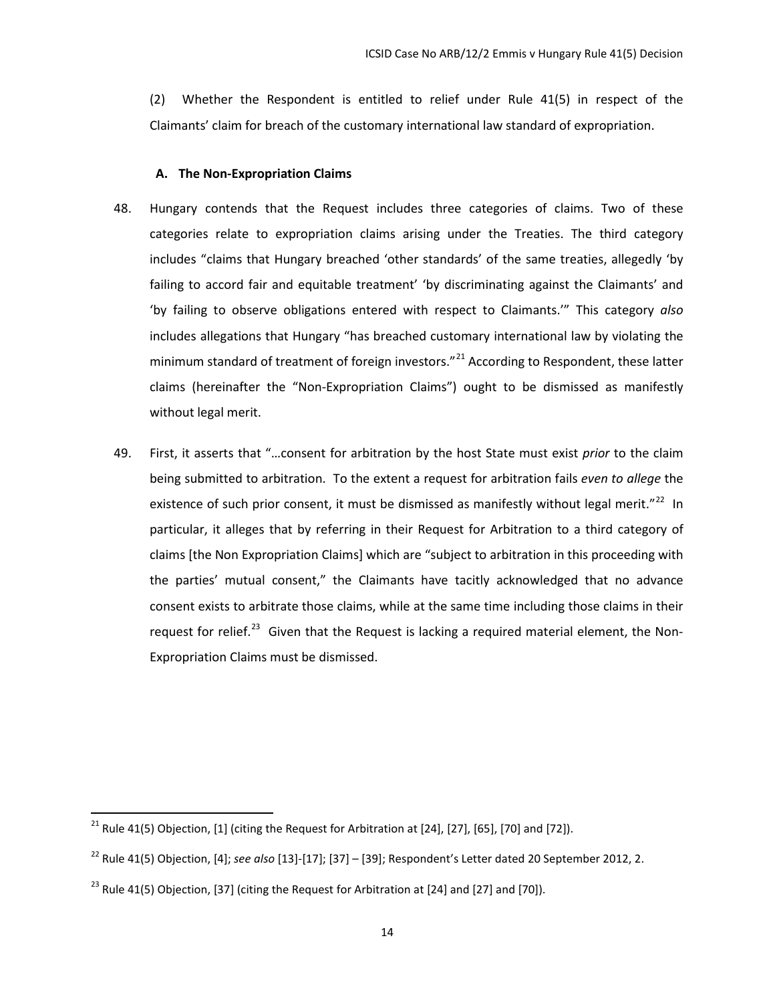(2) Whether the Respondent is entitled to relief under Rule 41(5) in respect of the Claimants' claim for breach of the customary international law standard of expropriation.

#### **A. The Non-Expropriation Claims**

- <span id="page-16-0"></span>48. Hungary contends that the Request includes three categories of claims. Two of these categories relate to expropriation claims arising under the Treaties. The third category includes "claims that Hungary breached 'other standards' of the same treaties, allegedly 'by failing to accord fair and equitable treatment' 'by discriminating against the Claimants' and 'by failing to observe obligations entered with respect to Claimants.'" This category *also* includes allegations that Hungary "has breached customary international law by violating the minimum standard of treatment of foreign investors."<sup>[21](#page-16-1)</sup> According to Respondent, these latter claims (hereinafter the "Non-Expropriation Claims") ought to be dismissed as manifestly without legal merit.
- 49. First, it asserts that "…consent for arbitration by the host State must exist *prior* to the claim being submitted to arbitration. To the extent a request for arbitration fails *even to allege* the existence of such prior consent, it must be dismissed as manifestly without legal merit."<sup>[22](#page-16-2)</sup> In particular, it alleges that by referring in their Request for Arbitration to a third category of claims [the Non Expropriation Claims] which are "subject to arbitration in this proceeding with the parties' mutual consent," the Claimants have tacitly acknowledged that no advance consent exists to arbitrate those claims, while at the same time including those claims in their request for relief.<sup>23</sup> Given that the Request is lacking a required material element, the Non-Expropriation Claims must be dismissed.

<span id="page-16-1"></span><sup>&</sup>lt;sup>21</sup> Rule 41(5) Objection, [1] (citing the Request for Arbitration at [24], [27], [65], [70] and [72]).

<span id="page-16-2"></span><sup>22</sup> Rule 41(5) Objection, [4]; *see also* [13]-[17]; [37] – [39]; Respondent's Letter dated 20 September 2012, 2.

<span id="page-16-3"></span> $^{23}$  Rule 41(5) Objection, [37] (citing the Request for Arbitration at [24] and [27] and [70]).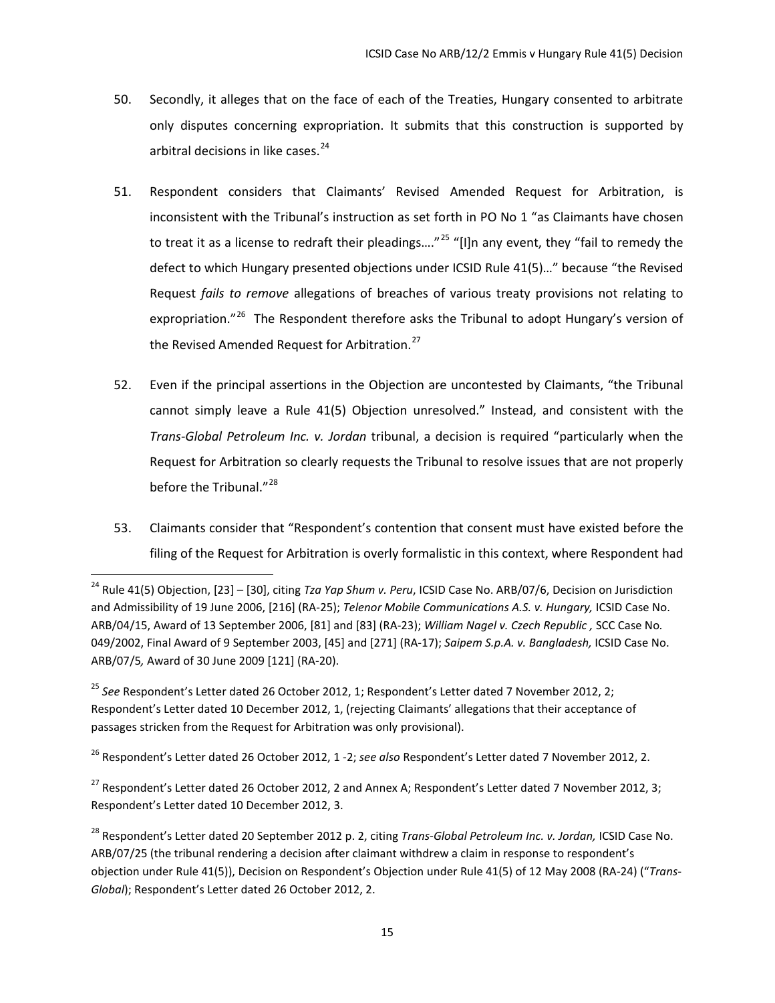- 50. Secondly, it alleges that on the face of each of the Treaties, Hungary consented to arbitrate only disputes concerning expropriation. It submits that this construction is supported by arbitral decisions in like cases.<sup>[24](#page-17-0)</sup>
- 51. Respondent considers that Claimants' Revised Amended Request for Arbitration, is inconsistent with the Tribunal's instruction as set forth in PO No 1 "as Claimants have chosen to treat it as a license to redraft their pleadings...."<sup>[25](#page-17-1)</sup> "[I]n any event, they "fail to remedy the defect to which Hungary presented objections under ICSID Rule 41(5)…" because "the Revised Request *fails to remove* allegations of breaches of various treaty provisions not relating to expropriation."<sup>[26](#page-17-2)</sup> The Respondent therefore asks the Tribunal to adopt Hungary's version of the Revised Amended Request for Arbitration.<sup>[27](#page-17-3)</sup>
- 52. Even if the principal assertions in the Objection are uncontested by Claimants, "the Tribunal cannot simply leave a Rule 41(5) Objection unresolved." Instead, and consistent with the *Trans-Global Petroleum Inc. v. Jordan* tribunal, a decision is required "particularly when the Request for Arbitration so clearly requests the Tribunal to resolve issues that are not properly before the Tribunal."<sup>[28](#page-17-4)</sup>
- 53. Claimants consider that "Respondent's contention that consent must have existed before the filing of the Request for Arbitration is overly formalistic in this context, where Respondent had

<span id="page-17-0"></span><sup>24</sup> Rule 41(5) Objection, [23] – [30], citing *Tza Yap Shum v. Peru*, ICSID Case No. ARB/07/6, Decision on Jurisdiction and Admissibility of 19 June 2006, [216] (RA-25); *Telenor Mobile Communications A.S. v. Hungary,* ICSID Case No. ARB/04/15, Award of 13 September 2006, [81] and [83] (RA-23); *William Nagel v. Czech Republic ,* SCC Case No*.*  049/2002, Final Award of 9 September 2003, [45] and [271] (RA-17); *Saipem S.p.A. v. Bangladesh,* ICSID Case No. ARB/07/5*,* Award of 30 June 2009 [121] (RA-20).

<span id="page-17-1"></span><sup>25</sup> *See* Respondent's Letter dated 26 October 2012, 1; Respondent's Letter dated 7 November 2012, 2; Respondent's Letter dated 10 December 2012, 1, (rejecting Claimants' allegations that their acceptance of passages stricken from the Request for Arbitration was only provisional).

<span id="page-17-2"></span><sup>26</sup> Respondent's Letter dated 26 October 2012, 1 -2; *see also* Respondent's Letter dated 7 November 2012, 2.

<span id="page-17-3"></span><sup>&</sup>lt;sup>27</sup> Respondent's Letter dated 26 October 2012, 2 and Annex A; Respondent's Letter dated 7 November 2012, 3; Respondent's Letter dated 10 December 2012, 3.

<span id="page-17-4"></span><sup>28</sup> Respondent's Letter dated 20 September 2012 p. 2, citing *Trans-Global Petroleum Inc. v. Jordan,* ICSID Case No. ARB/07/25 (the tribunal rendering a decision after claimant withdrew a claim in response to respondent's objection under Rule 41(5)), Decision on Respondent's Objection under Rule 41(5) of 12 May 2008 (RA-24) ("*Trans-Global*); Respondent's Letter dated 26 October 2012, 2.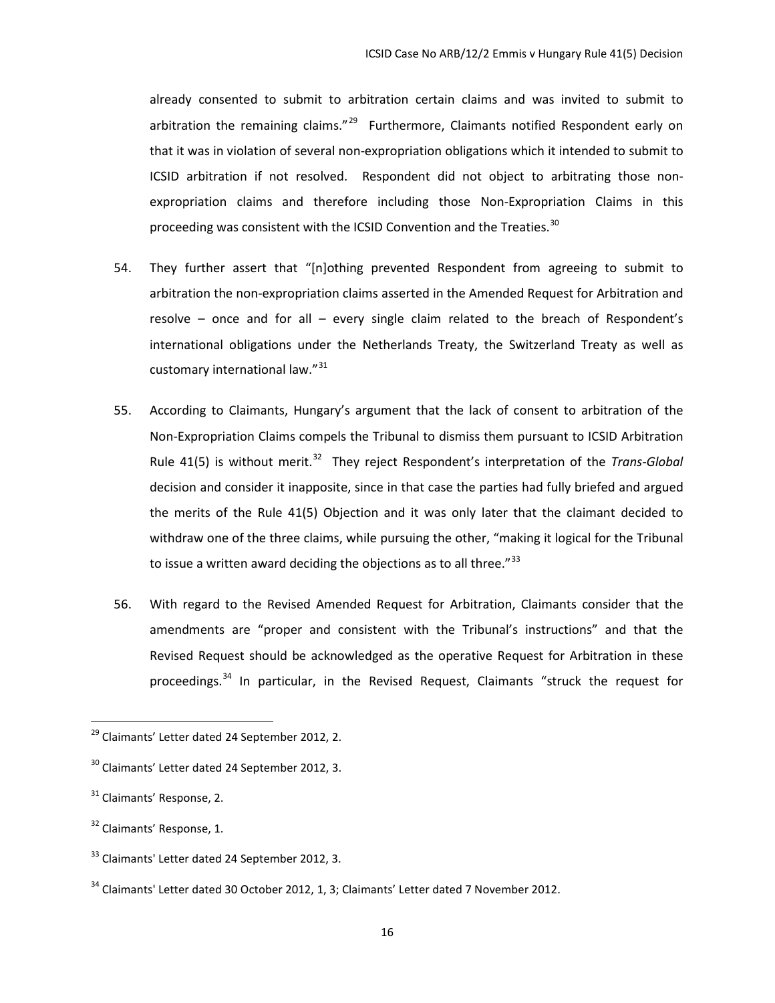already consented to submit to arbitration certain claims and was invited to submit to arbitration the remaining claims."<sup>29</sup> Furthermore, Claimants notified Respondent early on that it was in violation of several non-expropriation obligations which it intended to submit to ICSID arbitration if not resolved. Respondent did not object to arbitrating those nonexpropriation claims and therefore including those Non-Expropriation Claims in this proceeding was consistent with the ICSID Convention and the Treaties.<sup>[30](#page-18-1)</sup>

- 54. They further assert that "[n]othing prevented Respondent from agreeing to submit to arbitration the non-expropriation claims asserted in the Amended Request for Arbitration and resolve – once and for all – every single claim related to the breach of Respondent's international obligations under the Netherlands Treaty, the Switzerland Treaty as well as customary international law."<sup>[31](#page-18-2)</sup>
- 55. According to Claimants, Hungary's argument that the lack of consent to arbitration of the Non-Expropriation Claims compels the Tribunal to dismiss them pursuant to ICSID Arbitration Rule 41(5) is without merit.<sup>[32](#page-18-3)</sup> They reject Respondent's interpretation of the *Trans-Global* decision and consider it inapposite, since in that case the parties had fully briefed and argued the merits of the Rule 41(5) Objection and it was only later that the claimant decided to withdraw one of the three claims, while pursuing the other, "making it logical for the Tribunal to issue a written award deciding the objections as to all three." $33$
- 56. With regard to the Revised Amended Request for Arbitration, Claimants consider that the amendments are "proper and consistent with the Tribunal's instructions" and that the Revised Request should be acknowledged as the operative Request for Arbitration in these proceedings.<sup>[34](#page-18-5)</sup> In particular, in the Revised Request, Claimants "struck the request for

<span id="page-18-0"></span><sup>29</sup> Claimants' Letter dated 24 September 2012, 2.

<span id="page-18-1"></span><sup>&</sup>lt;sup>30</sup> Claimants' Letter dated 24 September 2012, 3.

<span id="page-18-2"></span><sup>&</sup>lt;sup>31</sup> Claimants' Response, 2.

<span id="page-18-3"></span><sup>&</sup>lt;sup>32</sup> Claimants' Response, 1.

<span id="page-18-4"></span><sup>&</sup>lt;sup>33</sup> Claimants' Letter dated 24 September 2012, 3.

<span id="page-18-5"></span> $34$  Claimants' Letter dated 30 October 2012, 1, 3; Claimants' Letter dated 7 November 2012.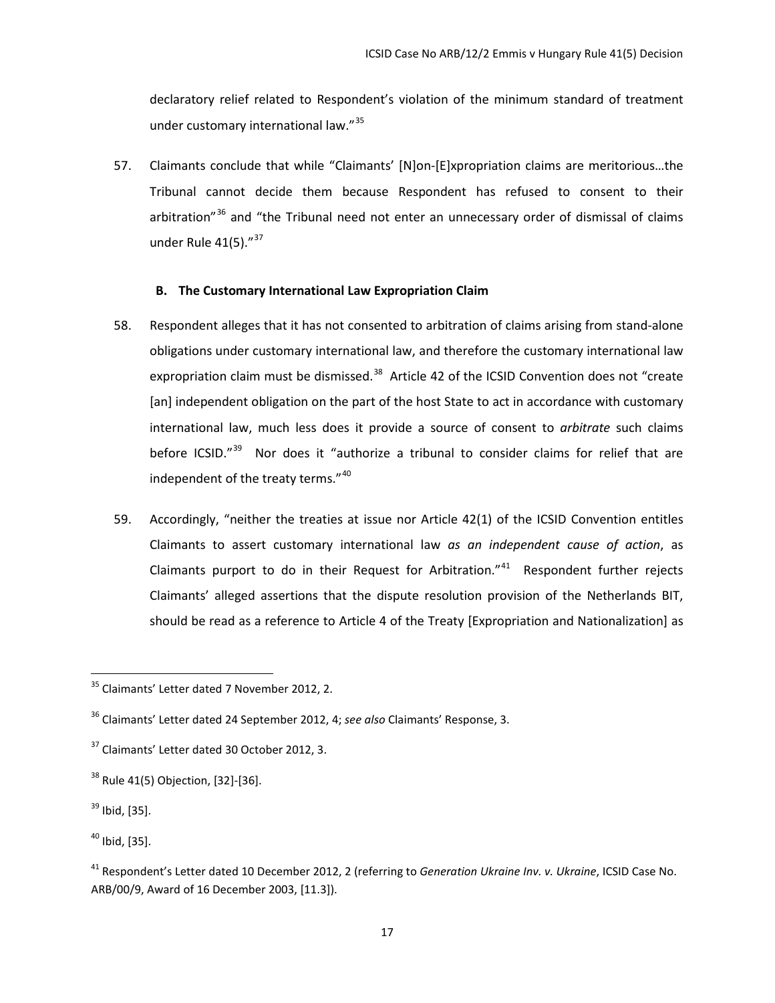declaratory relief related to Respondent's violation of the minimum standard of treatment under customary international law."<sup>[35](#page-19-1)</sup>

57. Claimants conclude that while "Claimants' [N]on-[E]xpropriation claims are meritorious…the Tribunal cannot decide them because Respondent has refused to consent to their arbitration<sup>"[36](#page-19-2)</sup> and "the Tribunal need not enter an unnecessary order of dismissal of claims under Rule  $41(5)$ ." $37$ 

### **B. The Customary International Law Expropriation Claim**

- <span id="page-19-0"></span>58. Respondent alleges that it has not consented to arbitration of claims arising from stand-alone obligations under customary international law, and therefore the customary international law expropriation claim must be dismissed. $38$  Article 42 of the ICSID Convention does not "create [an] independent obligation on the part of the host State to act in accordance with customary international law, much less does it provide a source of consent to *arbitrate* such claims before ICSID."<sup>[39](#page-19-5)</sup> Nor does it "authorize a tribunal to consider claims for relief that are independent of the treaty terms."<sup>[40](#page-19-6)</sup>
- 59. Accordingly, "neither the treaties at issue nor Article 42(1) of the ICSID Convention entitles Claimants to assert customary international law *as an independent cause of action*, as Claimants purport to do in their Request for Arbitration." $41$  Respondent further rejects Claimants' alleged assertions that the dispute resolution provision of the Netherlands BIT, should be read as a reference to Article 4 of the Treaty [Expropriation and Nationalization] as

<span id="page-19-1"></span> $35$  Claimants' Letter dated 7 November 2012, 2.

<span id="page-19-2"></span><sup>36</sup> Claimants' Letter dated 24 September 2012, 4; *see also* Claimants' Response, 3.

<span id="page-19-3"></span><sup>&</sup>lt;sup>37</sup> Claimants' Letter dated 30 October 2012, 3.

<span id="page-19-4"></span> $38$  Rule 41(5) Objection, [32]-[36].

<span id="page-19-5"></span> $39$  Ibid, [35].

<span id="page-19-6"></span> $40$  Ibid, [35].

<span id="page-19-7"></span><sup>41</sup> Respondent's Letter dated 10 December 2012, 2 (referring to *Generation Ukraine Inv. v. Ukraine*, ICSID Case No. ARB/00/9, Award of 16 December 2003, [11.3]).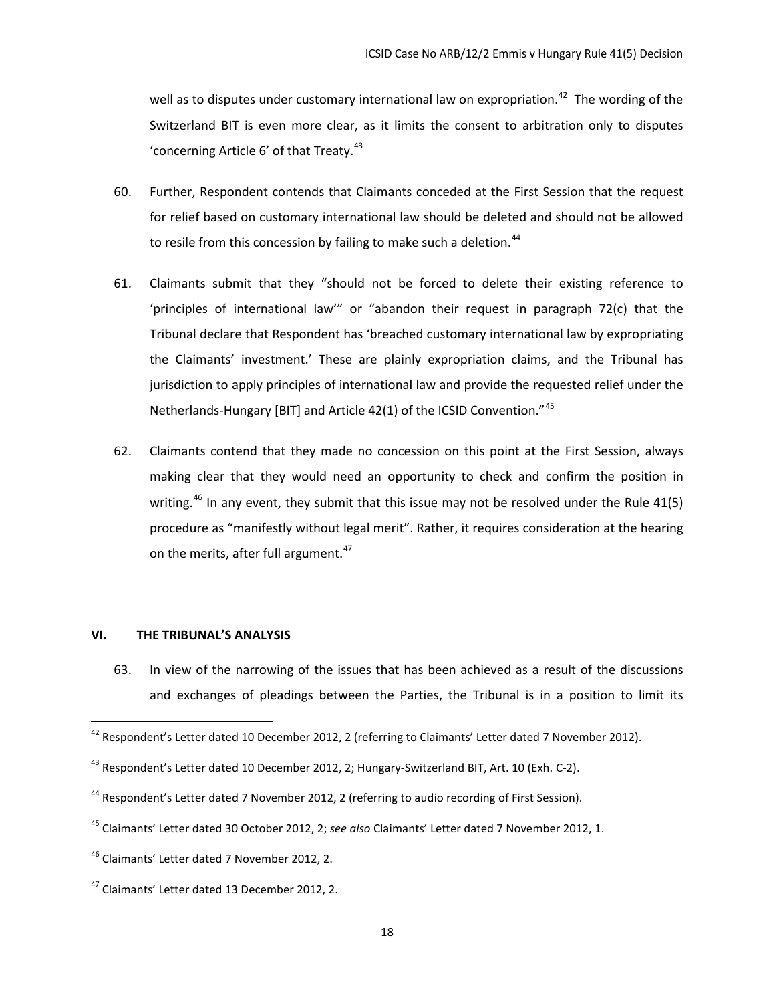well as to disputes under customary international law on expropriation.<sup>[42](#page-20-1)</sup> The wording of the Switzerland BIT is even more clear, as it limits the consent to arbitration only to disputes 'concerning Article  $6'$  of that Treaty. $43$ 

- 60. Further, Respondent contends that Claimants conceded at the First Session that the request for relief based on customary international law should be deleted and should not be allowed to resile from this concession by failing to make such a deletion.<sup>[44](#page-20-3)</sup>
- 61. Claimants submit that they "should not be forced to delete their existing reference to 'principles of international law'" or "abandon their request in paragraph 72(c) that the Tribunal declare that Respondent has 'breached customary international law by expropriating the Claimants' investment.' These are plainly expropriation claims, and the Tribunal has jurisdiction to apply principles of international law and provide the requested relief under the Netherlands-Hungary [BIT] and Article 42(1) of the ICSID Convention."<sup>[45](#page-20-4)</sup>
- 62. Claimants contend that they made no concession on this point at the First Session, always making clear that they would need an opportunity to check and confirm the position in writing.<sup>[46](#page-20-5)</sup> In any event, they submit that this issue may not be resolved under the Rule 41(5) procedure as "manifestly without legal merit". Rather, it requires consideration at the hearing on the merits, after full argument. $47$

# <span id="page-20-0"></span>**VI. THE TRIBUNAL'S ANALYSIS**

63. In view of the narrowing of the issues that has been achieved as a result of the discussions and exchanges of pleadings between the Parties, the Tribunal is in a position to limit its

<span id="page-20-1"></span><sup>&</sup>lt;sup>42</sup> Respondent's Letter dated 10 December 2012, 2 (referring to Claimants' Letter dated 7 November 2012).

<span id="page-20-2"></span><sup>&</sup>lt;sup>43</sup> Respondent's Letter dated 10 December 2012, 2; Hungary-Switzerland BIT, Art. 10 (Exh. C-2).

<span id="page-20-3"></span><sup>&</sup>lt;sup>44</sup> Respondent's Letter dated 7 November 2012, 2 (referring to audio recording of First Session).

<span id="page-20-4"></span><sup>45</sup> Claimants' Letter dated 30 October 2012, 2; *see also* Claimants' Letter dated 7 November 2012, 1.

<span id="page-20-5"></span><sup>46</sup> Claimants' Letter dated 7 November 2012, 2.

<span id="page-20-6"></span><sup>47</sup> Claimants' Letter dated 13 December 2012, 2.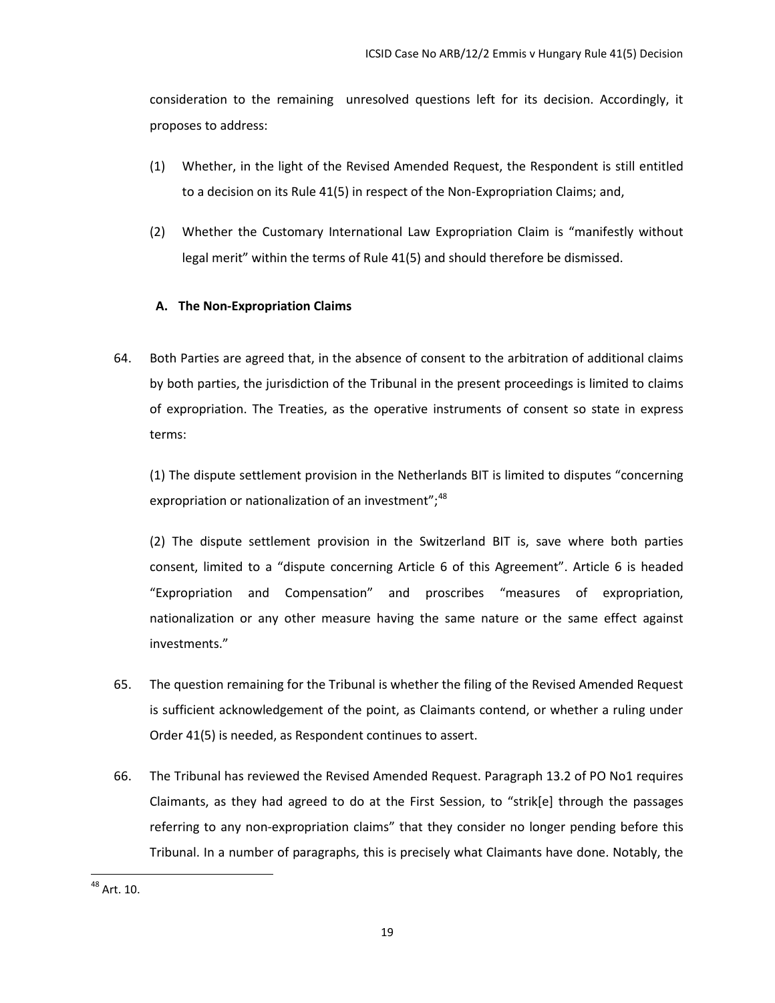consideration to the remaining unresolved questions left for its decision. Accordingly, it proposes to address:

- (1) Whether, in the light of the Revised Amended Request, the Respondent is still entitled to a decision on its Rule 41(5) in respect of the Non-Expropriation Claims; and,
- (2) Whether the Customary International Law Expropriation Claim is "manifestly without legal merit" within the terms of Rule 41(5) and should therefore be dismissed.

# **A. The Non-Expropriation Claims**

<span id="page-21-0"></span>64. Both Parties are agreed that, in the absence of consent to the arbitration of additional claims by both parties, the jurisdiction of the Tribunal in the present proceedings is limited to claims of expropriation. The Treaties, as the operative instruments of consent so state in express terms:

(1) The dispute settlement provision in the Netherlands BIT is limited to disputes "concerning expropriation or nationalization of an investment";<sup>[48](#page-21-1)</sup>

(2) The dispute settlement provision in the Switzerland BIT is, save where both parties consent, limited to a "dispute concerning Article 6 of this Agreement". Article 6 is headed "Expropriation and Compensation" and proscribes "measures of expropriation, nationalization or any other measure having the same nature or the same effect against investments."

- 65. The question remaining for the Tribunal is whether the filing of the Revised Amended Request is sufficient acknowledgement of the point, as Claimants contend, or whether a ruling under Order 41(5) is needed, as Respondent continues to assert.
- 66. The Tribunal has reviewed the Revised Amended Request. Paragraph 13.2 of PO No1 requires Claimants, as they had agreed to do at the First Session, to "strik[e] through the passages referring to any non-expropriation claims" that they consider no longer pending before this Tribunal. In a number of paragraphs, this is precisely what Claimants have done. Notably, the

<span id="page-21-1"></span><sup>48</sup> Art. 10.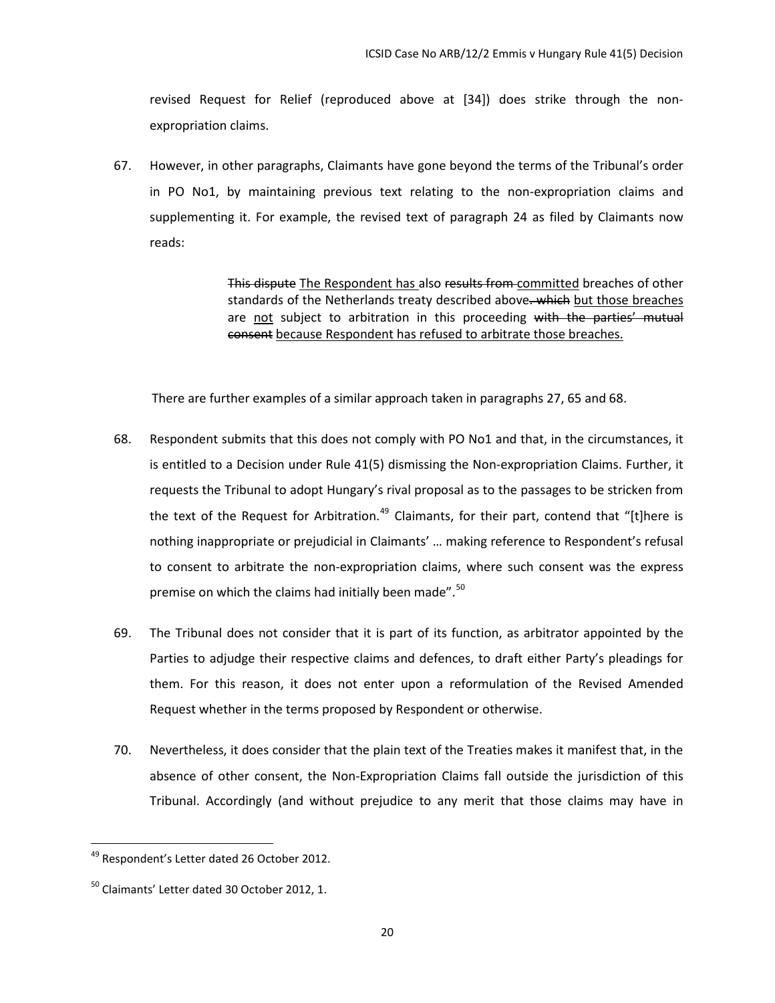revised Request for Relief (reproduced above at [34]) does strike through the nonexpropriation claims.

67. However, in other paragraphs, Claimants have gone beyond the terms of the Tribunal's order in PO No1, by maintaining previous text relating to the non-expropriation claims and supplementing it. For example, the revised text of paragraph 24 as filed by Claimants now reads:

> This dispute The Respondent has also results from committed breaches of other standards of the Netherlands treaty described above. which but those breaches are not subject to arbitration in this proceeding with the parties' mutual consent because Respondent has refused to arbitrate those breaches.

There are further examples of a similar approach taken in paragraphs 27, 65 and 68.

- 68. Respondent submits that this does not comply with PO No1 and that, in the circumstances, it is entitled to a Decision under Rule 41(5) dismissing the Non-expropriation Claims. Further, it requests the Tribunal to adopt Hungary's rival proposal as to the passages to be stricken from the text of the Request for Arbitration.<sup>[49](#page-22-0)</sup> Claimants, for their part, contend that "[t]here is nothing inappropriate or prejudicial in Claimants' … making reference to Respondent's refusal to consent to arbitrate the non-expropriation claims, where such consent was the express premise on which the claims had initially been made".<sup>[50](#page-22-1)</sup>
- 69. The Tribunal does not consider that it is part of its function, as arbitrator appointed by the Parties to adjudge their respective claims and defences, to draft either Party's pleadings for them. For this reason, it does not enter upon a reformulation of the Revised Amended Request whether in the terms proposed by Respondent or otherwise.
- 70. Nevertheless, it does consider that the plain text of the Treaties makes it manifest that, in the absence of other consent, the Non-Expropriation Claims fall outside the jurisdiction of this Tribunal. Accordingly (and without prejudice to any merit that those claims may have in

<span id="page-22-0"></span><sup>&</sup>lt;sup>49</sup> Respondent's Letter dated 26 October 2012.

<span id="page-22-1"></span><sup>&</sup>lt;sup>50</sup> Claimants' Letter dated 30 October 2012, 1.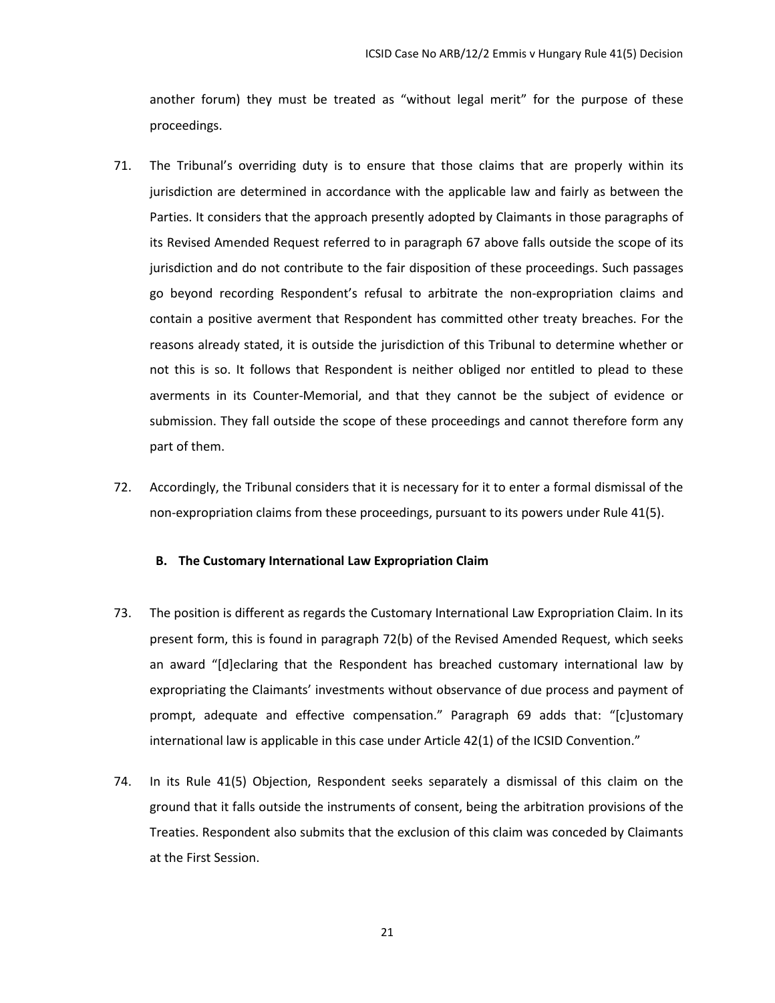another forum) they must be treated as "without legal merit" for the purpose of these proceedings.

- 71. The Tribunal's overriding duty is to ensure that those claims that are properly within its jurisdiction are determined in accordance with the applicable law and fairly as between the Parties. It considers that the approach presently adopted by Claimants in those paragraphs of its Revised Amended Request referred to in paragraph 67 above falls outside the scope of its jurisdiction and do not contribute to the fair disposition of these proceedings. Such passages go beyond recording Respondent's refusal to arbitrate the non-expropriation claims and contain a positive averment that Respondent has committed other treaty breaches. For the reasons already stated, it is outside the jurisdiction of this Tribunal to determine whether or not this is so. It follows that Respondent is neither obliged nor entitled to plead to these averments in its Counter-Memorial, and that they cannot be the subject of evidence or submission. They fall outside the scope of these proceedings and cannot therefore form any part of them.
- 72. Accordingly, the Tribunal considers that it is necessary for it to enter a formal dismissal of the non-expropriation claims from these proceedings, pursuant to its powers under Rule 41(5).

#### <span id="page-23-0"></span>**B. The Customary International Law Expropriation Claim**

- 73. The position is different as regards the Customary International Law Expropriation Claim. In its present form, this is found in paragraph 72(b) of the Revised Amended Request, which seeks an award "[d]eclaring that the Respondent has breached customary international law by expropriating the Claimants' investments without observance of due process and payment of prompt, adequate and effective compensation." Paragraph 69 adds that: "[c]ustomary international law is applicable in this case under Article 42(1) of the ICSID Convention."
- 74. In its Rule 41(5) Objection, Respondent seeks separately a dismissal of this claim on the ground that it falls outside the instruments of consent, being the arbitration provisions of the Treaties. Respondent also submits that the exclusion of this claim was conceded by Claimants at the First Session.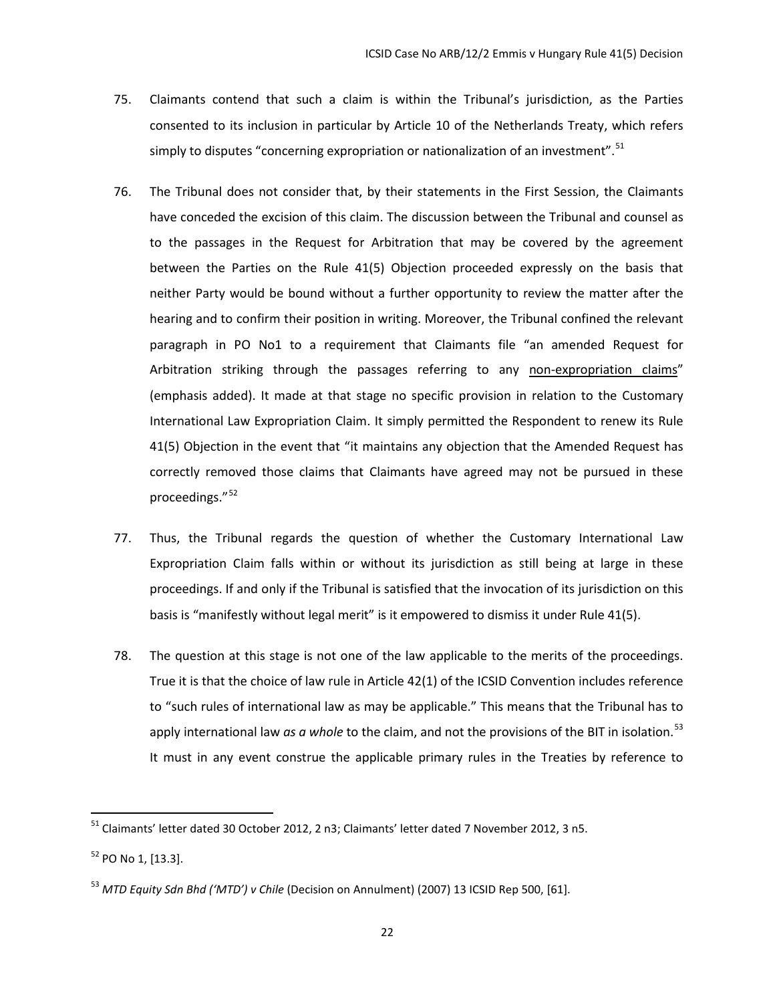- 75. Claimants contend that such a claim is within the Tribunal's jurisdiction, as the Parties consented to its inclusion in particular by Article 10 of the Netherlands Treaty, which refers simply to disputes "concerning expropriation or nationalization of an investment".  $51$
- 76. The Tribunal does not consider that, by their statements in the First Session, the Claimants have conceded the excision of this claim. The discussion between the Tribunal and counsel as to the passages in the Request for Arbitration that may be covered by the agreement between the Parties on the Rule 41(5) Objection proceeded expressly on the basis that neither Party would be bound without a further opportunity to review the matter after the hearing and to confirm their position in writing. Moreover, the Tribunal confined the relevant paragraph in PO No1 to a requirement that Claimants file "an amended Request for Arbitration striking through the passages referring to any non-expropriation claims" (emphasis added). It made at that stage no specific provision in relation to the Customary International Law Expropriation Claim. It simply permitted the Respondent to renew its Rule 41(5) Objection in the event that "it maintains any objection that the Amended Request has correctly removed those claims that Claimants have agreed may not be pursued in these proceedings."<sup>[52](#page-24-1)</sup>
- 77. Thus, the Tribunal regards the question of whether the Customary International Law Expropriation Claim falls within or without its jurisdiction as still being at large in these proceedings. If and only if the Tribunal is satisfied that the invocation of its jurisdiction on this basis is "manifestly without legal merit" is it empowered to dismiss it under Rule 41(5).
- 78. The question at this stage is not one of the law applicable to the merits of the proceedings. True it is that the choice of law rule in Article 42(1) of the ICSID Convention includes reference to "such rules of international law as may be applicable." This means that the Tribunal has to apply international law *as a whole* to the claim, and not the provisions of the BIT in isolation. [53](#page-24-2) It must in any event construe the applicable primary rules in the Treaties by reference to

<span id="page-24-0"></span><sup>51</sup> Claimants' letter dated 30 October 2012, 2 n3; Claimants' letter dated 7 November 2012, 3 n5.

<span id="page-24-1"></span><sup>52</sup> PO No 1, [13.3].

<span id="page-24-2"></span><sup>53</sup> *MTD Equity Sdn Bhd ('MTD') v Chile* (Decision on Annulment) (2007) 13 ICSID Rep 500, [61].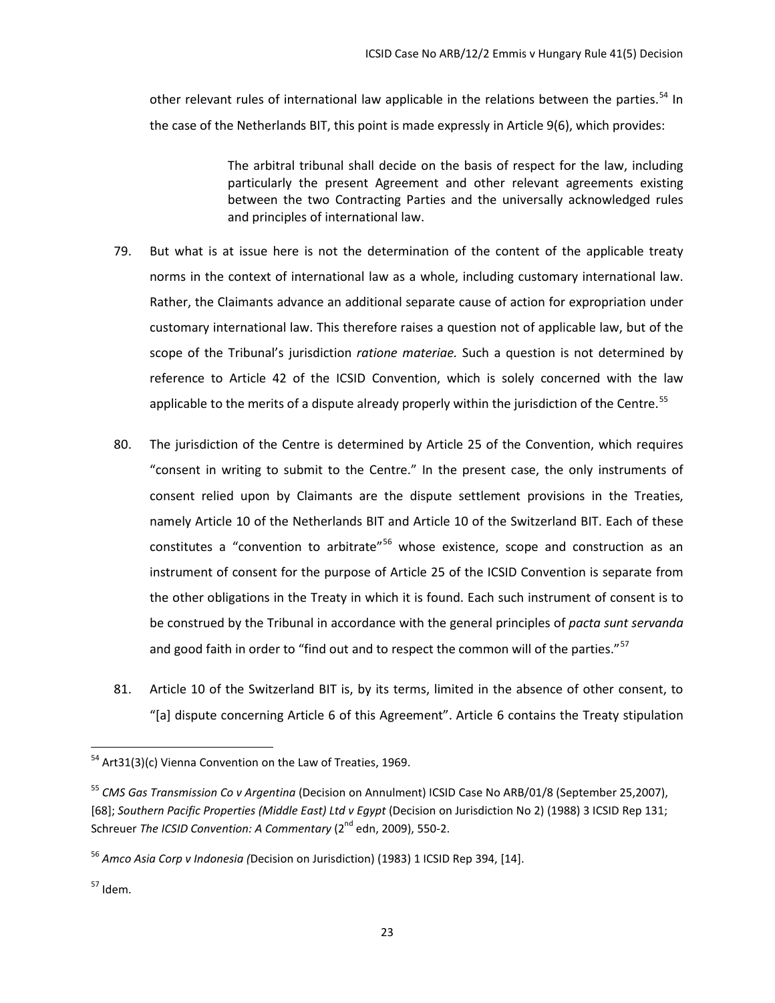other relevant rules of international law applicable in the relations between the parties.<sup>[54](#page-25-0)</sup> In the case of the Netherlands BIT, this point is made expressly in Article 9(6), which provides:

> The arbitral tribunal shall decide on the basis of respect for the law, including particularly the present Agreement and other relevant agreements existing between the two Contracting Parties and the universally acknowledged rules and principles of international law.

- 79. But what is at issue here is not the determination of the content of the applicable treaty norms in the context of international law as a whole, including customary international law. Rather, the Claimants advance an additional separate cause of action for expropriation under customary international law. This therefore raises a question not of applicable law, but of the scope of the Tribunal's jurisdiction *ratione materiae.* Such a question is not determined by reference to Article 42 of the ICSID Convention, which is solely concerned with the law applicable to the merits of a dispute already properly within the jurisdiction of the Centre.<sup>[55](#page-25-1)</sup>
- 80. The jurisdiction of the Centre is determined by Article 25 of the Convention, which requires "consent in writing to submit to the Centre." In the present case, the only instruments of consent relied upon by Claimants are the dispute settlement provisions in the Treaties, namely Article 10 of the Netherlands BIT and Article 10 of the Switzerland BIT. Each of these constitutes a "convention to arbitrate"<sup>[56](#page-25-2)</sup> whose existence, scope and construction as an instrument of consent for the purpose of Article 25 of the ICSID Convention is separate from the other obligations in the Treaty in which it is found. Each such instrument of consent is to be construed by the Tribunal in accordance with the general principles of *pacta sunt servanda*  and good faith in order to "find out and to respect the common will of the parties."<sup>[57](#page-25-3)</sup>
- 81. Article 10 of the Switzerland BIT is, by its terms, limited in the absence of other consent, to "[a] dispute concerning Article 6 of this Agreement". Article 6 contains the Treaty stipulation

<span id="page-25-0"></span><sup>&</sup>lt;sup>54</sup> Art31(3)(c) Vienna Convention on the Law of Treaties, 1969.

<span id="page-25-1"></span><sup>55</sup> *CMS Gas Transmission Co v Argentina* (Decision on Annulment) ICSID Case No ARB/01/8 (September 25,2007), [68]; *Southern Pacific Properties (Middle East) Ltd v Egypt* (Decision on Jurisdiction No 2) (1988) 3 ICSID Rep 131; Schreuer *The ICSID Convention: A Commentary* (2<sup>nd</sup> edn, 2009), 550-2.

<span id="page-25-2"></span><sup>56</sup> *Amco Asia Corp v Indonesia (*Decision on Jurisdiction) (1983) 1 ICSID Rep 394, [14].

<span id="page-25-3"></span><sup>57</sup> Idem.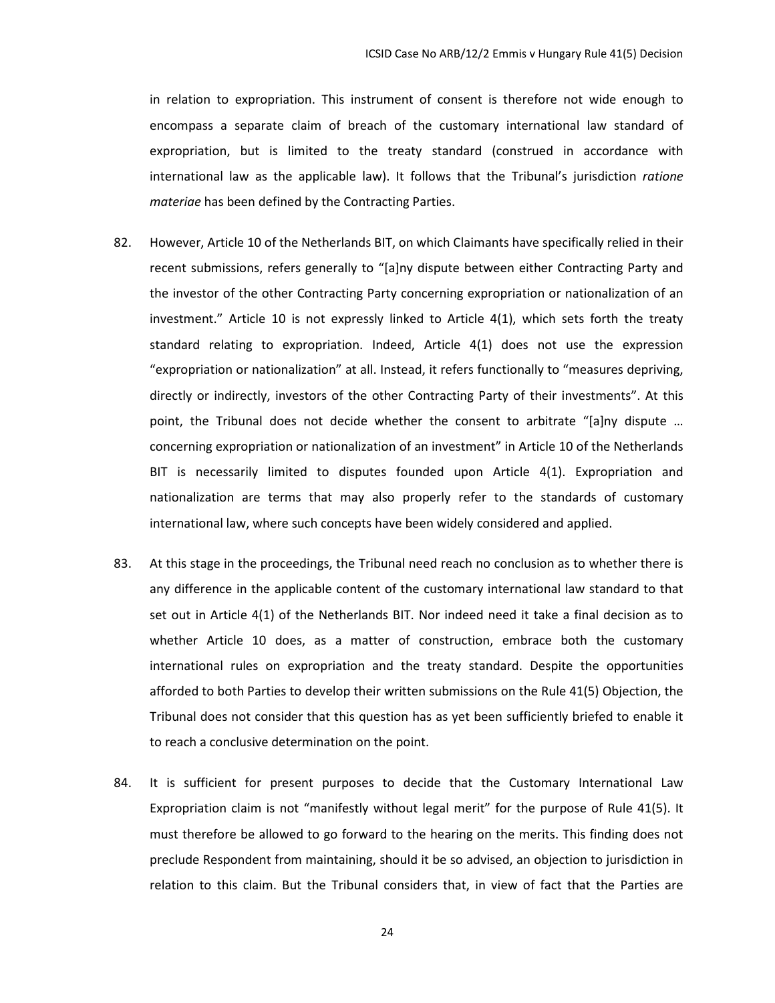in relation to expropriation. This instrument of consent is therefore not wide enough to encompass a separate claim of breach of the customary international law standard of expropriation, but is limited to the treaty standard (construed in accordance with international law as the applicable law). It follows that the Tribunal's jurisdiction *ratione materiae* has been defined by the Contracting Parties.

- 82. However, Article 10 of the Netherlands BIT, on which Claimants have specifically relied in their recent submissions, refers generally to "[a]ny dispute between either Contracting Party and the investor of the other Contracting Party concerning expropriation or nationalization of an investment." Article 10 is not expressly linked to Article 4(1), which sets forth the treaty standard relating to expropriation. Indeed, Article 4(1) does not use the expression "expropriation or nationalization" at all. Instead, it refers functionally to "measures depriving, directly or indirectly, investors of the other Contracting Party of their investments". At this point, the Tribunal does not decide whether the consent to arbitrate "[a]ny dispute … concerning expropriation or nationalization of an investment" in Article 10 of the Netherlands BIT is necessarily limited to disputes founded upon Article 4(1). Expropriation and nationalization are terms that may also properly refer to the standards of customary international law, where such concepts have been widely considered and applied.
- 83. At this stage in the proceedings, the Tribunal need reach no conclusion as to whether there is any difference in the applicable content of the customary international law standard to that set out in Article 4(1) of the Netherlands BIT. Nor indeed need it take a final decision as to whether Article 10 does, as a matter of construction, embrace both the customary international rules on expropriation and the treaty standard. Despite the opportunities afforded to both Parties to develop their written submissions on the Rule 41(5) Objection, the Tribunal does not consider that this question has as yet been sufficiently briefed to enable it to reach a conclusive determination on the point.
- 84. It is sufficient for present purposes to decide that the Customary International Law Expropriation claim is not "manifestly without legal merit" for the purpose of Rule 41(5). It must therefore be allowed to go forward to the hearing on the merits. This finding does not preclude Respondent from maintaining, should it be so advised, an objection to jurisdiction in relation to this claim. But the Tribunal considers that, in view of fact that the Parties are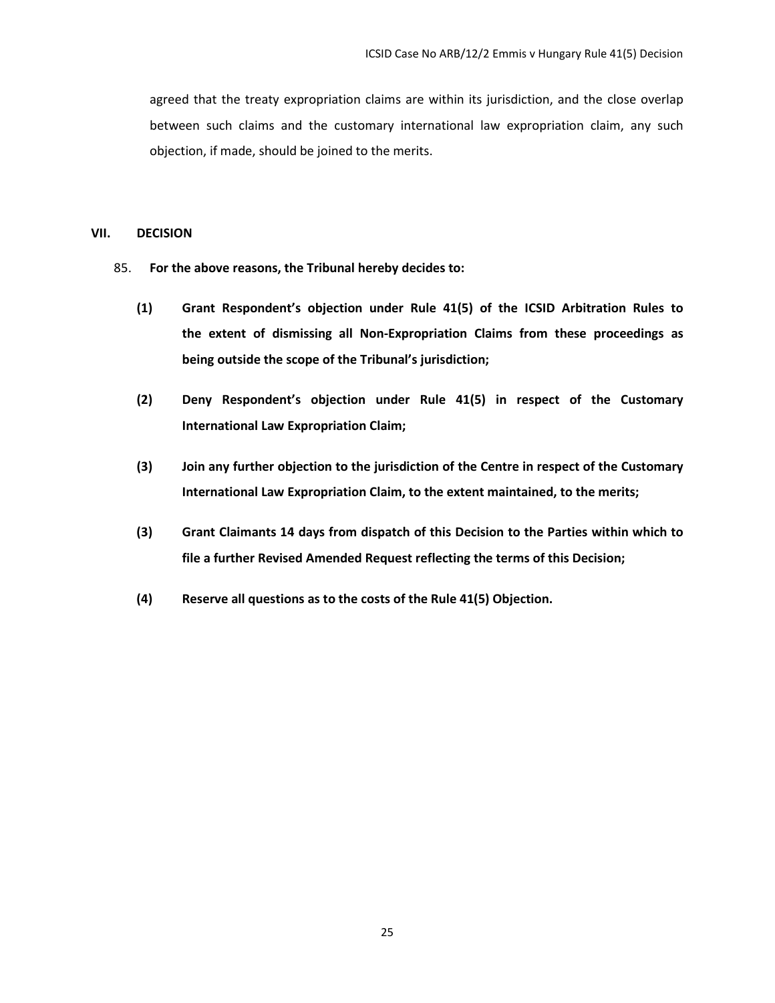agreed that the treaty expropriation claims are within its jurisdiction, and the close overlap between such claims and the customary international law expropriation claim, any such objection, if made, should be joined to the merits.

### <span id="page-27-0"></span>**VII. DECISION**

- 85. **For the above reasons, the Tribunal hereby decides to:**
	- **(1) Grant Respondent's objection under Rule 41(5) of the ICSID Arbitration Rules to the extent of dismissing all Non-Expropriation Claims from these proceedings as being outside the scope of the Tribunal's jurisdiction;**
	- **(2) Deny Respondent's objection under Rule 41(5) in respect of the Customary International Law Expropriation Claim;**
	- **(3) Join any further objection to the jurisdiction of the Centre in respect of the Customary International Law Expropriation Claim, to the extent maintained, to the merits;**
	- **(3) Grant Claimants 14 days from dispatch of this Decision to the Parties within which to file a further Revised Amended Request reflecting the terms of this Decision;**
	- **(4) Reserve all questions as to the costs of the Rule 41(5) Objection.**